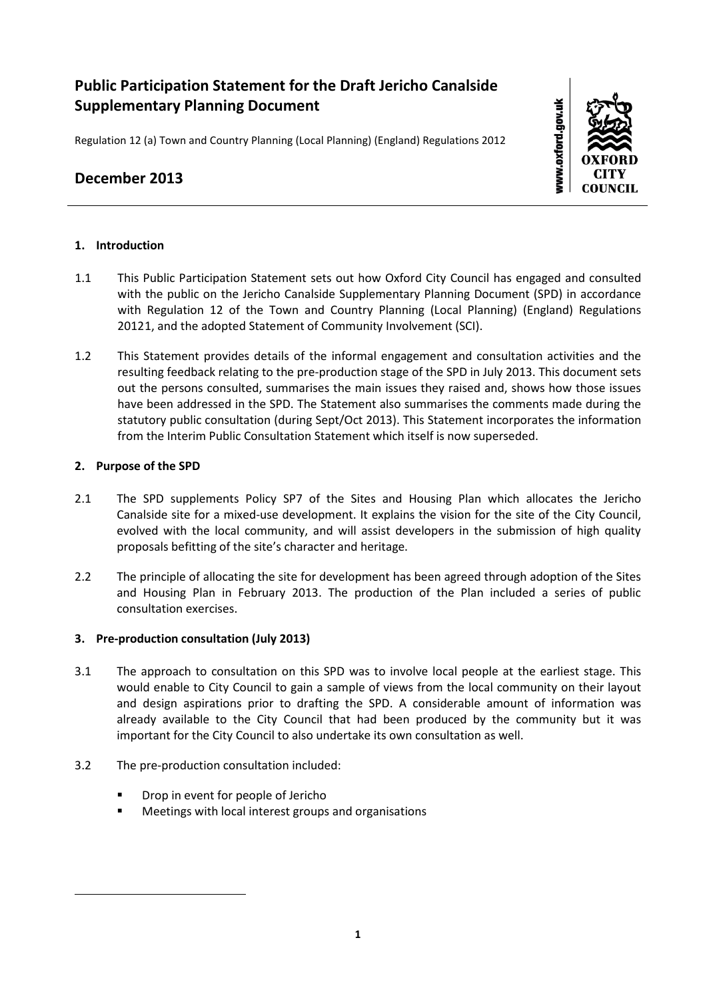# **Public Participation Statement for the Draft Jericho Canalside Supplementary Planning Document**

Regulation 12 (a) Town and Country Planning (Local Planning) (England) Regulations 2012

# **December 2013**



## **1. Introduction**

- 1.1 This Public Participation Statement sets out how Oxford City Council has engaged and consulted with the public on the Jericho Canalside Supplementary Planning Document (SPD) in accordance with Regulation 12 of the Town and Country Planning (Local Planning) (England) Regulations 2012[1](#page-0-0), and the adopted Statement of Community Involvement (SCI).
- 1.2 This Statement provides details of the informal engagement and consultation activities and the resulting feedback relating to the pre-production stage of the SPD in July 2013. This document sets out the persons consulted, summarises the main issues they raised and, shows how those issues have been addressed in the SPD. The Statement also summarises the comments made during the statutory public consultation (during Sept/Oct 2013). This Statement incorporates the information from the Interim Public Consultation Statement which itself is now superseded.

## **2. Purpose of the SPD**

<span id="page-0-0"></span><u>.</u>

- 2.1 The SPD supplements Policy SP7 of the Sites and Housing Plan which allocates the Jericho Canalside site for a mixed-use development. It explains the vision for the site of the City Council, evolved with the local community, and will assist developers in the submission of high quality proposals befitting of the site's character and heritage.
- 2.2 The principle of allocating the site for development has been agreed through adoption of the Sites and Housing Plan in February 2013. The production of the Plan included a series of public consultation exercises.

## **3. Pre-production consultation (July 2013)**

- 3.1 The approach to consultation on this SPD was to involve local people at the earliest stage. This would enable to City Council to gain a sample of views from the local community on their layout and design aspirations prior to drafting the SPD. A considerable amount of information was already available to the City Council that had been produced by the community but it was important for the City Council to also undertake its own consultation as well.
- 3.2 The pre-production consultation included:
	- Drop in event for people of Jericho
	- **Meetings with local interest groups and organisations**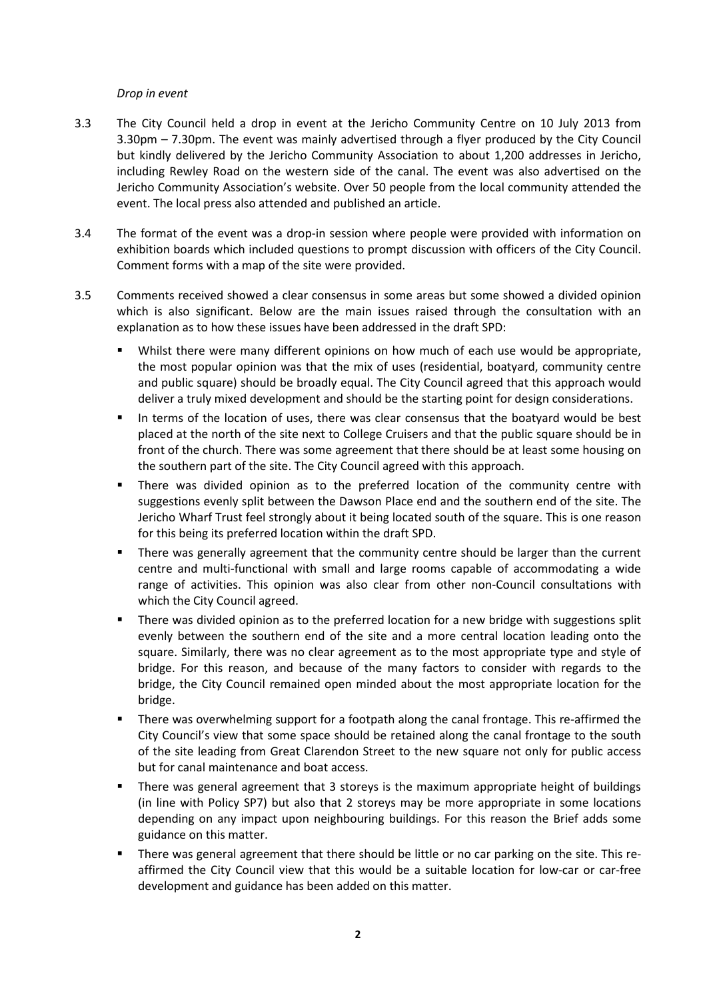#### *Drop in event*

- 3.3 The City Council held a drop in event at the Jericho Community Centre on 10 July 2013 from 3.30pm – 7.30pm. The event was mainly advertised through a flyer produced by the City Council but kindly delivered by the Jericho Community Association to about 1,200 addresses in Jericho, including Rewley Road on the western side of the canal. The event was also advertised on the Jericho Community Association's website. Over 50 people from the local community attended the event. The local press also attended and published an article.
- 3.4 The format of the event was a drop-in session where people were provided with information on exhibition boards which included questions to prompt discussion with officers of the City Council. Comment forms with a map of the site were provided.
- 3.5 Comments received showed a clear consensus in some areas but some showed a divided opinion which is also significant. Below are the main issues raised through the consultation with an explanation as to how these issues have been addressed in the draft SPD:
	- Whilst there were many different opinions on how much of each use would be appropriate, the most popular opinion was that the mix of uses (residential, boatyard, community centre and public square) should be broadly equal. The City Council agreed that this approach would deliver a truly mixed development and should be the starting point for design considerations.
	- In terms of the location of uses, there was clear consensus that the boatyard would be best placed at the north of the site next to College Cruisers and that the public square should be in front of the church. There was some agreement that there should be at least some housing on the southern part of the site. The City Council agreed with this approach.
	- There was divided opinion as to the preferred location of the community centre with suggestions evenly split between the Dawson Place end and the southern end of the site. The Jericho Wharf Trust feel strongly about it being located south of the square. This is one reason for this being its preferred location within the draft SPD.
	- There was generally agreement that the community centre should be larger than the current centre and multi-functional with small and large rooms capable of accommodating a wide range of activities. This opinion was also clear from other non-Council consultations with which the City Council agreed.
	- There was divided opinion as to the preferred location for a new bridge with suggestions split evenly between the southern end of the site and a more central location leading onto the square. Similarly, there was no clear agreement as to the most appropriate type and style of bridge. For this reason, and because of the many factors to consider with regards to the bridge, the City Council remained open minded about the most appropriate location for the bridge.
	- There was overwhelming support for a footpath along the canal frontage. This re-affirmed the City Council's view that some space should be retained along the canal frontage to the south of the site leading from Great Clarendon Street to the new square not only for public access but for canal maintenance and boat access.
	- There was general agreement that 3 storeys is the maximum appropriate height of buildings (in line with Policy SP7) but also that 2 storeys may be more appropriate in some locations depending on any impact upon neighbouring buildings. For this reason the Brief adds some guidance on this matter.
	- There was general agreement that there should be little or no car parking on the site. This reaffirmed the City Council view that this would be a suitable location for low-car or car-free development and guidance has been added on this matter.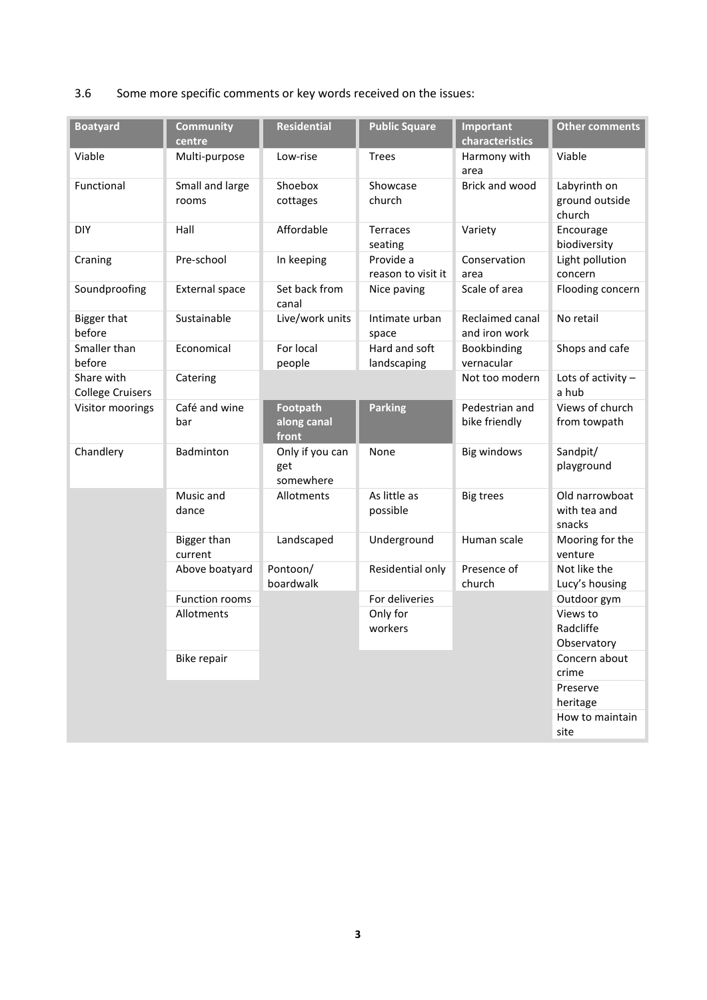# 3.6 Some more specific comments or key words received on the issues:

| <b>Boatyard</b>                       | <b>Community</b><br>centre | <b>Residential</b>                  | <b>Public Square</b>            | Important<br>characteristics     | <b>Other comments</b>                    |
|---------------------------------------|----------------------------|-------------------------------------|---------------------------------|----------------------------------|------------------------------------------|
| Viable                                | Multi-purpose              | Low-rise                            | <b>Trees</b>                    | Harmony with<br>area             | Viable                                   |
| Functional                            | Small and large<br>rooms   | Shoebox<br>cottages                 | Showcase<br>church              | Brick and wood                   | Labyrinth on<br>ground outside<br>church |
| <b>DIY</b>                            | Hall                       | Affordable                          | <b>Terraces</b><br>seating      | Variety                          | Encourage<br>biodiversity                |
| Craning                               | Pre-school                 | In keeping                          | Provide a<br>reason to visit it | Conservation<br>area             | Light pollution<br>concern               |
| Soundproofing                         | <b>External space</b>      | Set back from<br>canal              | Nice paving                     | Scale of area                    | Flooding concern                         |
| <b>Bigger that</b><br>before          | Sustainable                | Live/work units                     | Intimate urban<br>space         | Reclaimed canal<br>and iron work | No retail                                |
| Smaller than<br>before                | Economical                 | For local<br>people                 | Hard and soft<br>landscaping    | Bookbinding<br>vernacular        | Shops and cafe                           |
| Share with<br><b>College Cruisers</b> | Catering                   |                                     |                                 | Not too modern                   | Lots of activity $-$<br>a hub            |
| Visitor moorings                      | Café and wine<br>bar       | Footpath<br>along canal<br>front    | <b>Parking</b>                  | Pedestrian and<br>bike friendly  | Views of church<br>from towpath          |
| Chandlery                             | Badminton                  | Only if you can<br>get<br>somewhere | None                            | <b>Big windows</b>               | Sandpit/<br>playground                   |
|                                       | Music and<br>dance         | Allotments                          | As little as<br>possible        | <b>Big trees</b>                 | Old narrowboat<br>with tea and<br>snacks |
|                                       | Bigger than<br>current     | Landscaped                          | Underground                     | Human scale                      | Mooring for the<br>venture               |
|                                       | Above boatyard             | Pontoon/<br>boardwalk               | Residential only                | Presence of<br>church            | Not like the<br>Lucy's housing           |
|                                       | Function rooms             |                                     | For deliveries                  |                                  | Outdoor gym                              |
|                                       | Allotments                 |                                     | Only for<br>workers             |                                  | Views to<br>Radcliffe<br>Observatory     |
|                                       | Bike repair                |                                     |                                 |                                  | Concern about<br>crime                   |
|                                       |                            |                                     |                                 |                                  | Preserve<br>heritage                     |
|                                       |                            |                                     |                                 |                                  | How to maintain<br>site                  |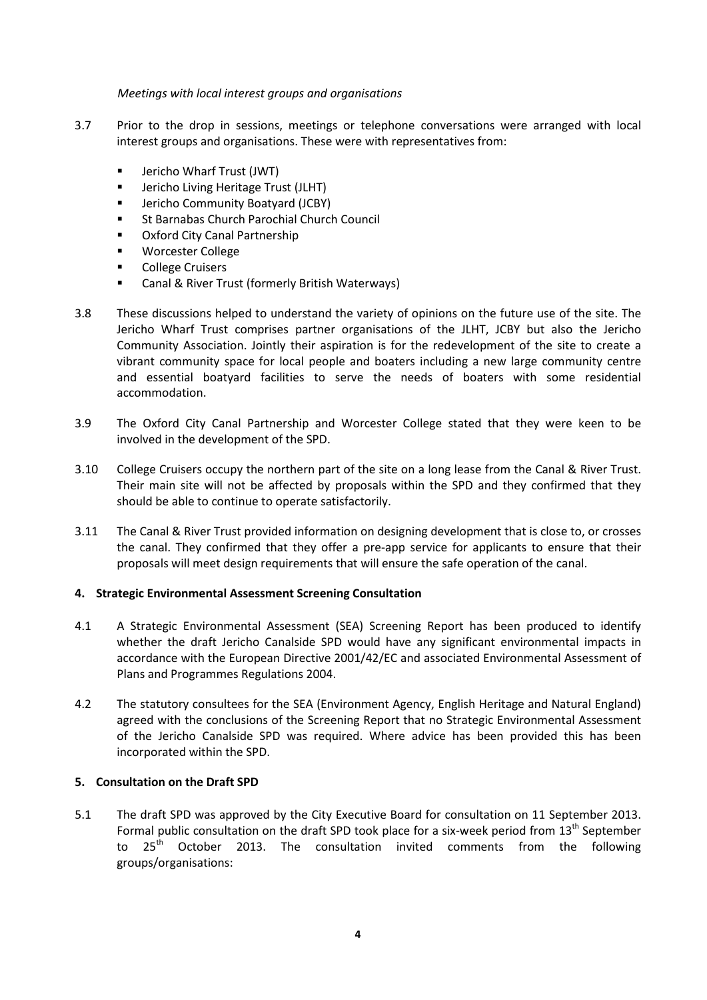*Meetings with local interest groups and organisations*

- 3.7 Prior to the drop in sessions, meetings or telephone conversations were arranged with local interest groups and organisations. These were with representatives from:
	- **F** Jericho Wharf Trust (JWT)
	- Jericho Living Heritage Trust (JLHT)
	- **E** Jericho Community Boatyard (JCBY)
	- St Barnabas Church Parochial Church Council
	- Oxford City Canal Partnership
	- Worcester College
	- College Cruisers
	- Canal & River Trust (formerly British Waterways)
- 3.8 These discussions helped to understand the variety of opinions on the future use of the site. The Jericho Wharf Trust comprises partner organisations of the JLHT, JCBY but also the Jericho Community Association. Jointly their aspiration is for the redevelopment of the site to create a vibrant community space for local people and boaters including a new large community centre and essential boatyard facilities to serve the needs of boaters with some residential accommodation.
- 3.9 The Oxford City Canal Partnership and Worcester College stated that they were keen to be involved in the development of the SPD.
- 3.10 College Cruisers occupy the northern part of the site on a long lease from the Canal & River Trust. Their main site will not be affected by proposals within the SPD and they confirmed that they should be able to continue to operate satisfactorily.
- 3.11 The Canal & River Trust provided information on designing development that is close to, or crosses the canal. They confirmed that they offer a pre-app service for applicants to ensure that their proposals will meet design requirements that will ensure the safe operation of the canal.

### **4. Strategic Environmental Assessment Screening Consultation**

- 4.1 A Strategic Environmental Assessment (SEA) Screening Report has been produced to identify whether the draft Jericho Canalside SPD would have any significant environmental impacts in accordance with the European Directive 2001/42/EC and associated Environmental Assessment of Plans and Programmes Regulations 2004.
- 4.2 The statutory consultees for the SEA (Environment Agency, English Heritage and Natural England) agreed with the conclusions of the Screening Report that no Strategic Environmental Assessment of the Jericho Canalside SPD was required. Where advice has been provided this has been incorporated within the SPD.

### **5. Consultation on the Draft SPD**

5.1 The draft SPD was approved by the City Executive Board for consultation on 11 September 2013. Formal public consultation on the draft SPD took place for a six-week period from  $13<sup>th</sup>$  September to 25<sup>th</sup> October 2013. The consultation invited comments from the following groups/organisations: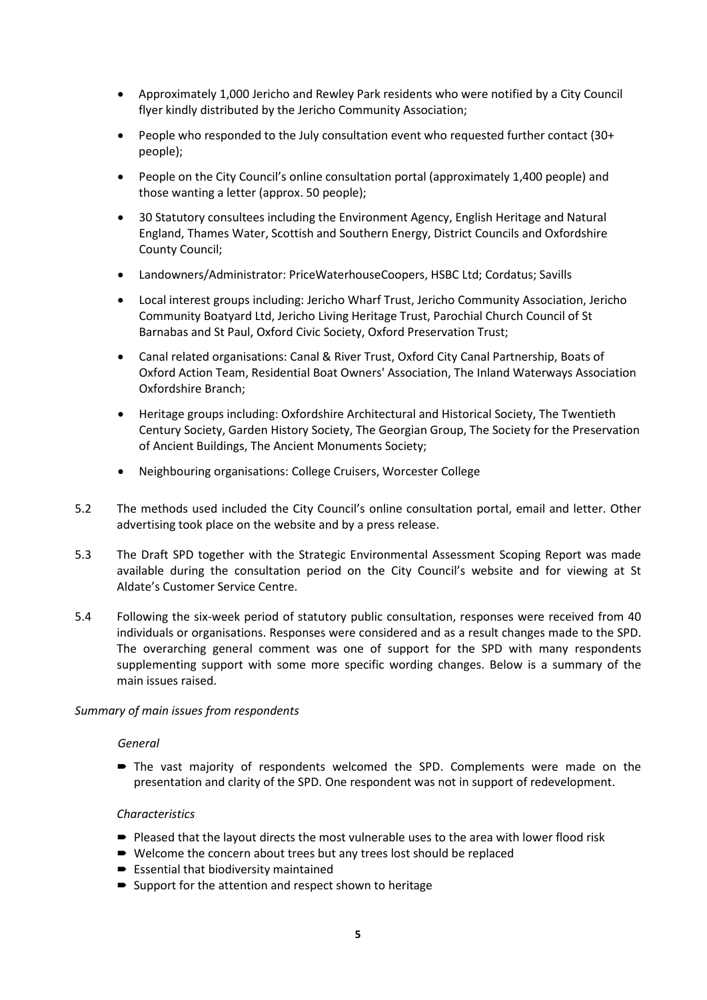- Approximately 1,000 Jericho and Rewley Park residents who were notified by a City Council flyer kindly distributed by the Jericho Community Association;
- People who responded to the July consultation event who requested further contact (30+ people);
- People on the City Council's online consultation portal (approximately 1,400 people) and those wanting a letter (approx. 50 people);
- 30 Statutory consultees including the Environment Agency, English Heritage and Natural England, Thames Water, Scottish and Southern Energy, District Councils and Oxfordshire County Council;
- Landowners/Administrator: PriceWaterhouseCoopers, HSBC Ltd; Cordatus; Savills
- Local interest groups including: Jericho Wharf Trust, Jericho Community Association, Jericho Community Boatyard Ltd, Jericho Living Heritage Trust, Parochial Church Council of St Barnabas and St Paul, Oxford Civic Society, Oxford Preservation Trust;
- Canal related organisations: Canal & River Trust, Oxford City Canal Partnership, Boats of Oxford Action Team, Residential Boat Owners' Association, The Inland Waterways Association Oxfordshire Branch;
- Heritage groups including: Oxfordshire Architectural and Historical Society, The Twentieth Century Society, Garden History Society, The Georgian Group, The Society for the Preservation of Ancient Buildings, The Ancient Monuments Society;
- Neighbouring organisations: College Cruisers, Worcester College
- 5.2 The methods used included the City Council's online consultation portal, email and letter. Other advertising took place on the website and by a press release.
- 5.3 The Draft SPD together with the Strategic Environmental Assessment Scoping Report was made available during the consultation period on the City Council's website and for viewing at St Aldate's Customer Service Centre.
- 5.4 Following the six-week period of statutory public consultation, responses were received from 40 individuals or organisations. Responses were considered and as a result changes made to the SPD. The overarching general comment was one of support for the SPD with many respondents supplementing support with some more specific wording changes. Below is a summary of the main issues raised.

#### *Summary of main issues from respondents*

#### *General*

 The vast majority of respondents welcomed the SPD. Complements were made on the presentation and clarity of the SPD. One respondent was not in support of redevelopment.

#### *Characteristics*

- Pleased that the layout directs the most vulnerable uses to the area with lower flood risk
- Welcome the concern about trees but any trees lost should be replaced
- $\blacktriangleright$  Essential that biodiversity maintained
- Support for the attention and respect shown to heritage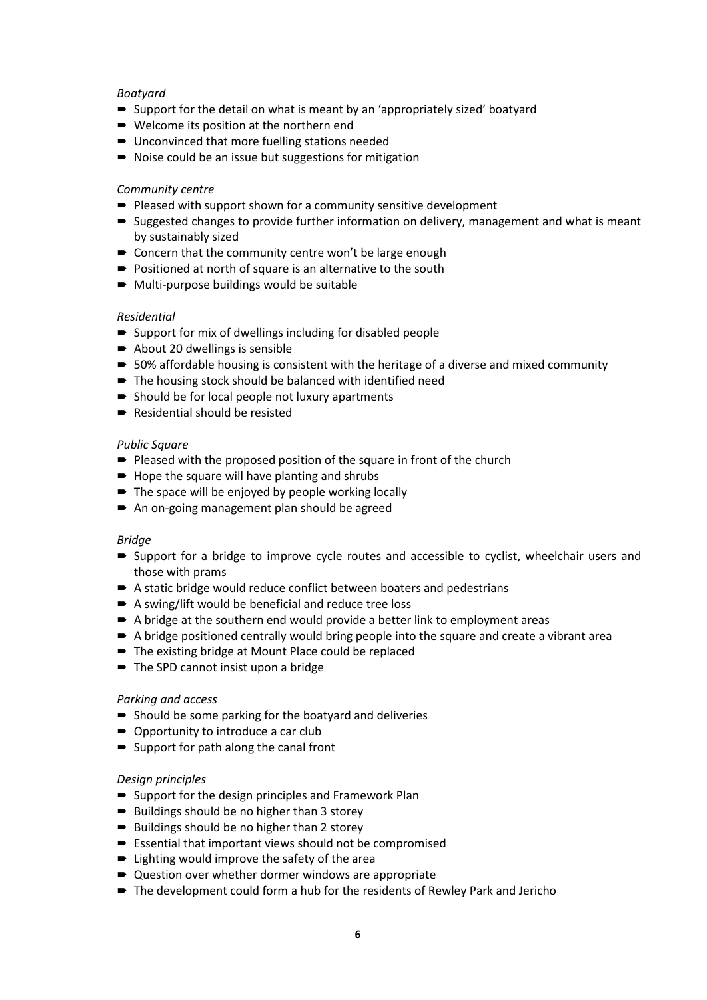### *Boatyard*

- Support for the detail on what is meant by an 'appropriately sized' boatyard
- Welcome its position at the northern end
- Unconvinced that more fuelling stations needed
- Noise could be an issue but suggestions for mitigation

### *Community centre*

- Pleased with support shown for a community sensitive development
- Suggested changes to provide further information on delivery, management and what is meant by sustainably sized
- Concern that the community centre won't be large enough
- Positioned at north of square is an alternative to the south
- Multi-purpose buildings would be suitable

### *Residential*

- $\rightarrow$  Support for mix of dwellings including for disabled people
- $\rightarrow$  About 20 dwellings is sensible
- 50% affordable housing is consistent with the heritage of a diverse and mixed community
- The housing stock should be balanced with identified need
- $\blacktriangleright$  Should be for local people not luxury apartments
- Residential should be resisted

### *Public Square*

- Pleased with the proposed position of the square in front of the church
- $\rightarrow$  Hope the square will have planting and shrubs
- The space will be enjoyed by people working locally
- An on-going management plan should be agreed

### *Bridge*

- Support for a bridge to improve cycle routes and accessible to cyclist, wheelchair users and those with prams
- A static bridge would reduce conflict between boaters and pedestrians
- A swing/lift would be beneficial and reduce tree loss
- A bridge at the southern end would provide a better link to employment areas
- A bridge positioned centrally would bring people into the square and create a vibrant area
- The existing bridge at Mount Place could be replaced
- The SPD cannot insist upon a bridge

### *Parking and access*

- $\blacktriangleright$  Should be some parking for the boatyard and deliveries
- Opportunity to introduce a car club
- Support for path along the canal front

### *Design principles*

- $\rightarrow$  Support for the design principles and Framework Plan
- Buildings should be no higher than 3 storey
- $\rightarrow$  Buildings should be no higher than 2 storey
- $\blacktriangleright$  Essential that important views should not be compromised
- Lighting would improve the safety of the area
- Question over whether dormer windows are appropriate
- The development could form a hub for the residents of Rewley Park and Jericho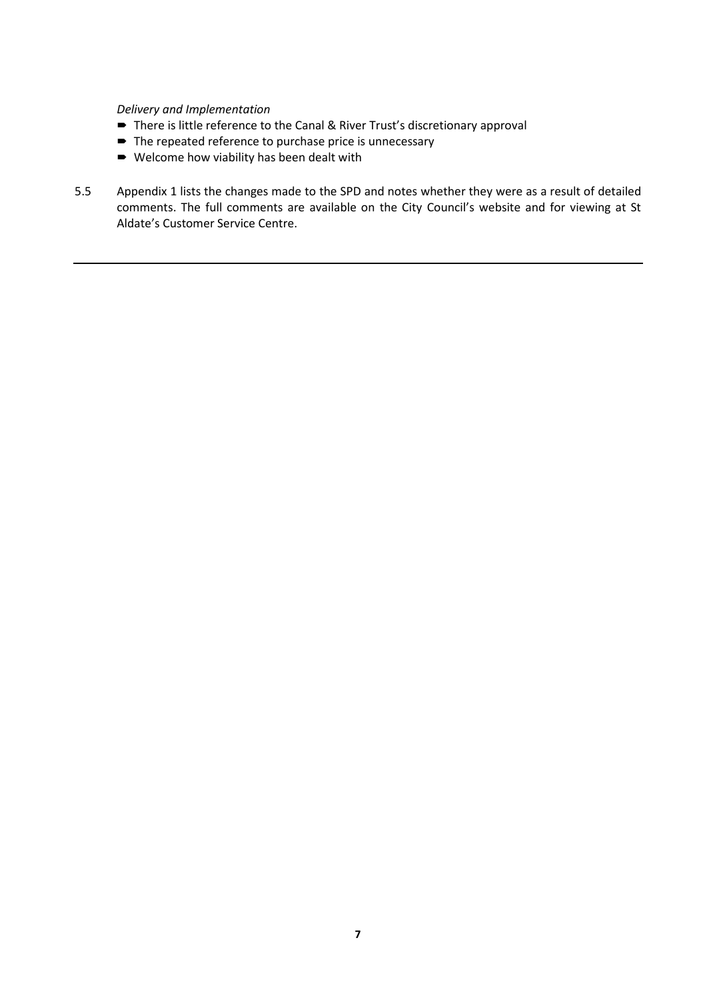*Delivery and Implementation*

- There is little reference to the Canal & River Trust's discretionary approval
- $\blacksquare$  The repeated reference to purchase price is unnecessary
- Welcome how viability has been dealt with
- 5.5 Appendix 1 lists the changes made to the SPD and notes whether they were as a result of detailed comments. The full comments are available on the City Council's website and for viewing at St Aldate's Customer Service Centre.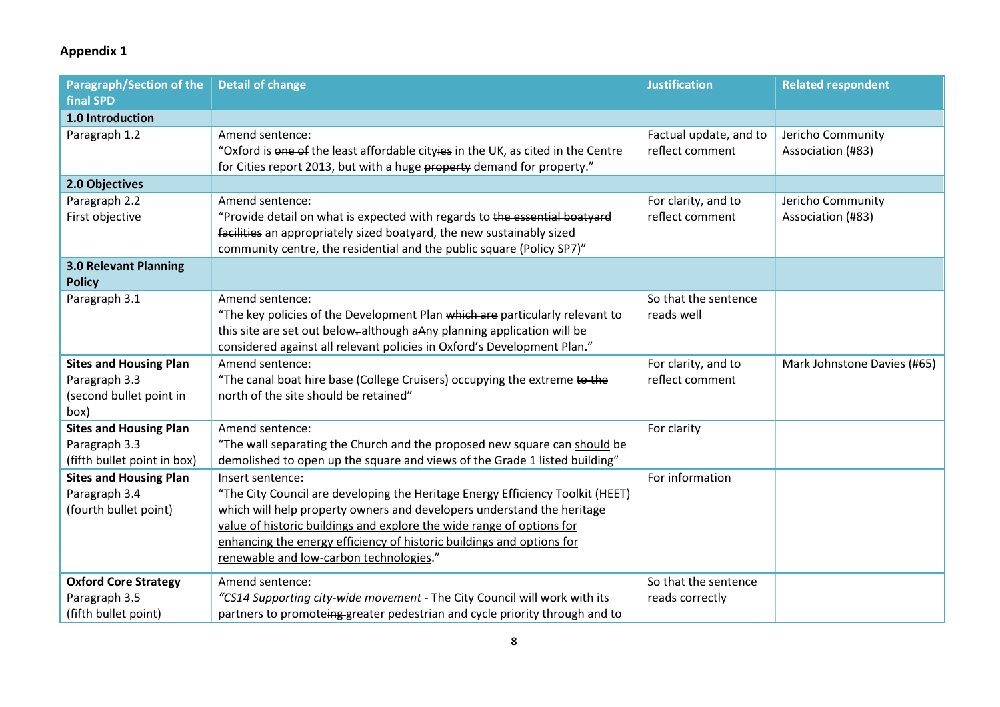# **Appendix 1**

| <b>Paragraph/Section of the</b>                                                   | <b>Detail of change</b>                                                                                                                                                                                                                                                                                                                                                   | <b>Justification</b>                      | <b>Related respondent</b>              |
|-----------------------------------------------------------------------------------|---------------------------------------------------------------------------------------------------------------------------------------------------------------------------------------------------------------------------------------------------------------------------------------------------------------------------------------------------------------------------|-------------------------------------------|----------------------------------------|
| <b>final SPD</b>                                                                  |                                                                                                                                                                                                                                                                                                                                                                           |                                           |                                        |
| 1.0 Introduction                                                                  |                                                                                                                                                                                                                                                                                                                                                                           |                                           |                                        |
| Paragraph 1.2                                                                     | Amend sentence:<br>"Oxford is one of the least affordable cityies in the UK, as cited in the Centre<br>for Cities report 2013, but with a huge property demand for property."                                                                                                                                                                                             | Factual update, and to<br>reflect comment | Jericho Community<br>Association (#83) |
| 2.0 Objectives                                                                    |                                                                                                                                                                                                                                                                                                                                                                           |                                           |                                        |
| Paragraph 2.2<br>First objective                                                  | Amend sentence:<br>"Provide detail on what is expected with regards to the essential boatyard<br>facilities an appropriately sized boatyard, the new sustainably sized<br>community centre, the residential and the public square (Policy SP7)"                                                                                                                           | For clarity, and to<br>reflect comment    | Jericho Community<br>Association (#83) |
| <b>3.0 Relevant Planning</b><br><b>Policy</b>                                     |                                                                                                                                                                                                                                                                                                                                                                           |                                           |                                        |
| Paragraph 3.1                                                                     | Amend sentence:<br>"The key policies of the Development Plan which are particularly relevant to<br>this site are set out below-although aAny planning application will be<br>considered against all relevant policies in Oxford's Development Plan."                                                                                                                      | So that the sentence<br>reads well        |                                        |
| <b>Sites and Housing Plan</b><br>Paragraph 3.3<br>(second bullet point in<br>box) | Amend sentence:<br>"The canal boat hire base (College Cruisers) occupying the extreme to the<br>north of the site should be retained"                                                                                                                                                                                                                                     | For clarity, and to<br>reflect comment    | Mark Johnstone Davies (#65)            |
| <b>Sites and Housing Plan</b><br>Paragraph 3.3<br>(fifth bullet point in box)     | Amend sentence:<br>"The wall separating the Church and the proposed new square can should be<br>demolished to open up the square and views of the Grade 1 listed building"                                                                                                                                                                                                | For clarity                               |                                        |
| <b>Sites and Housing Plan</b><br>Paragraph 3.4<br>(fourth bullet point)           | Insert sentence:<br>"The City Council are developing the Heritage Energy Efficiency Toolkit (HEET)<br>which will help property owners and developers understand the heritage<br>value of historic buildings and explore the wide range of options for<br>enhancing the energy efficiency of historic buildings and options for<br>renewable and low-carbon technologies." | For information                           |                                        |
| <b>Oxford Core Strategy</b><br>Paragraph 3.5<br>(fifth bullet point)              | Amend sentence:<br>"CS14 Supporting city-wide movement - The City Council will work with its<br>partners to promoteing greater pedestrian and cycle priority through and to                                                                                                                                                                                               | So that the sentence<br>reads correctly   |                                        |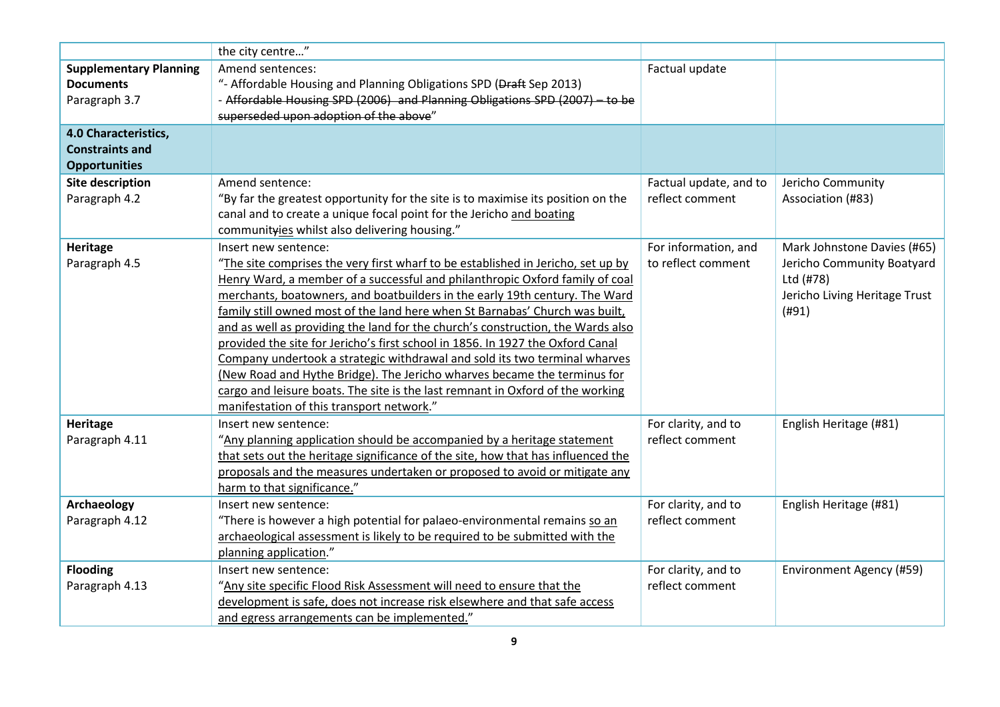|                                                   | the city centre"                                                                                                                                   |                        |                               |
|---------------------------------------------------|----------------------------------------------------------------------------------------------------------------------------------------------------|------------------------|-------------------------------|
| <b>Supplementary Planning</b><br><b>Documents</b> | Amend sentences:                                                                                                                                   | Factual update         |                               |
| Paragraph 3.7                                     | "- Affordable Housing and Planning Obligations SPD (Draft Sep 2013)<br>- Affordable Housing SPD (2006) and Planning Obligations SPD (2007) - to be |                        |                               |
|                                                   | superseded upon adoption of the above"                                                                                                             |                        |                               |
| 4.0 Characteristics,                              |                                                                                                                                                    |                        |                               |
| <b>Constraints and</b>                            |                                                                                                                                                    |                        |                               |
| <b>Opportunities</b>                              |                                                                                                                                                    |                        |                               |
| <b>Site description</b>                           | Amend sentence:                                                                                                                                    | Factual update, and to | Jericho Community             |
| Paragraph 4.2                                     | "By far the greatest opportunity for the site is to maximise its position on the                                                                   | reflect comment        | Association (#83)             |
|                                                   | canal and to create a unique focal point for the Jericho and boating                                                                               |                        |                               |
|                                                   | communityies whilst also delivering housing."                                                                                                      |                        |                               |
| <b>Heritage</b>                                   | Insert new sentence:                                                                                                                               | For information, and   | Mark Johnstone Davies (#65)   |
| Paragraph 4.5                                     | "The site comprises the very first wharf to be established in Jericho, set up by                                                                   | to reflect comment     | Jericho Community Boatyard    |
|                                                   | Henry Ward, a member of a successful and philanthropic Oxford family of coal                                                                       |                        | Ltd (#78)                     |
|                                                   | merchants, boatowners, and boatbuilders in the early 19th century. The Ward                                                                        |                        | Jericho Living Heritage Trust |
|                                                   | family still owned most of the land here when St Barnabas' Church was built,                                                                       |                        | (H91)                         |
|                                                   | and as well as providing the land for the church's construction, the Wards also                                                                    |                        |                               |
|                                                   | provided the site for Jericho's first school in 1856. In 1927 the Oxford Canal                                                                     |                        |                               |
|                                                   | Company undertook a strategic withdrawal and sold its two terminal wharves                                                                         |                        |                               |
|                                                   | (New Road and Hythe Bridge). The Jericho wharves became the terminus for                                                                           |                        |                               |
|                                                   | cargo and leisure boats. The site is the last remnant in Oxford of the working                                                                     |                        |                               |
|                                                   | manifestation of this transport network."                                                                                                          |                        |                               |
| Heritage                                          | Insert new sentence:                                                                                                                               | For clarity, and to    | English Heritage (#81)        |
| Paragraph 4.11                                    | "Any planning application should be accompanied by a heritage statement                                                                            | reflect comment        |                               |
|                                                   | that sets out the heritage significance of the site, how that has influenced the                                                                   |                        |                               |
|                                                   | proposals and the measures undertaken or proposed to avoid or mitigate any                                                                         |                        |                               |
|                                                   | harm to that significance."                                                                                                                        |                        |                               |
| <b>Archaeology</b>                                | Insert new sentence:                                                                                                                               | For clarity, and to    | English Heritage (#81)        |
| Paragraph 4.12                                    | "There is however a high potential for palaeo-environmental remains so an                                                                          | reflect comment        |                               |
|                                                   | archaeological assessment is likely to be required to be submitted with the                                                                        |                        |                               |
|                                                   | planning application."                                                                                                                             |                        |                               |
| <b>Flooding</b>                                   | Insert new sentence:                                                                                                                               | For clarity, and to    | Environment Agency (#59)      |
| Paragraph 4.13                                    | "Any site specific Flood Risk Assessment will need to ensure that the                                                                              | reflect comment        |                               |
|                                                   | development is safe, does not increase risk elsewhere and that safe access                                                                         |                        |                               |
|                                                   | and egress arrangements can be implemented."                                                                                                       |                        |                               |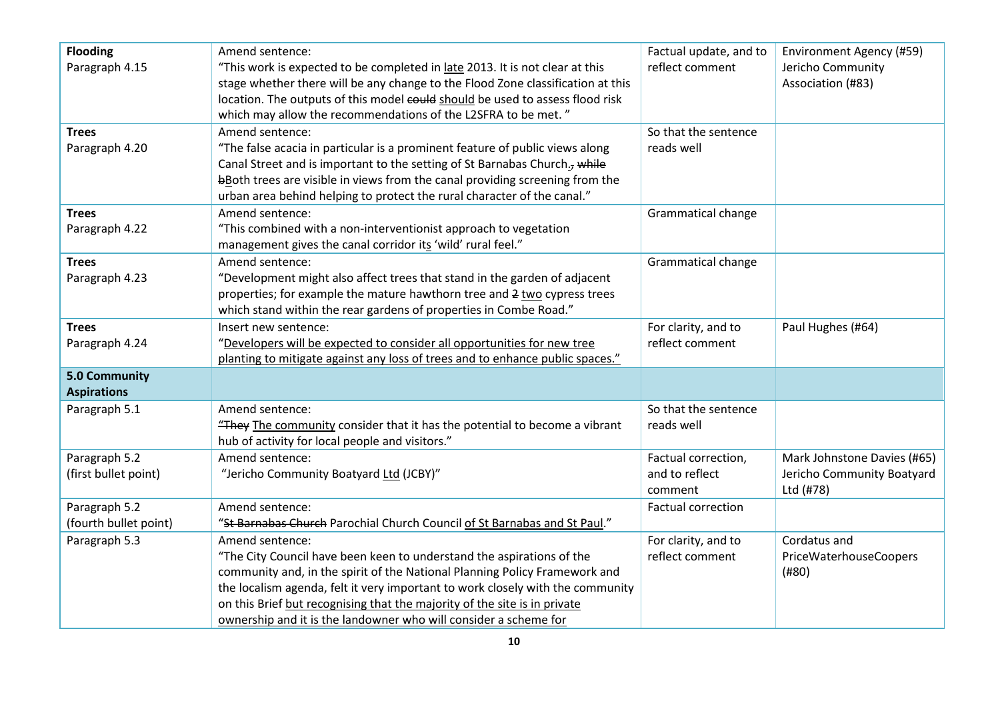| <b>Flooding</b><br>Paragraph 4.15          | Amend sentence:<br>"This work is expected to be completed in late 2013. It is not clear at this<br>stage whether there will be any change to the Flood Zone classification at this<br>location. The outputs of this model could should be used to assess flood risk<br>which may allow the recommendations of the L2SFRA to be met." | Factual update, and to<br>reflect comment | Environment Agency (#59)<br>Jericho Community<br>Association (#83) |
|--------------------------------------------|--------------------------------------------------------------------------------------------------------------------------------------------------------------------------------------------------------------------------------------------------------------------------------------------------------------------------------------|-------------------------------------------|--------------------------------------------------------------------|
| <b>Trees</b>                               | Amend sentence:                                                                                                                                                                                                                                                                                                                      | So that the sentence                      |                                                                    |
| Paragraph 4.20                             | "The false acacia in particular is a prominent feature of public views along<br>Canal Street and is important to the setting of St Barnabas Church., while<br>bBoth trees are visible in views from the canal providing screening from the<br>urban area behind helping to protect the rural character of the canal."                | reads well                                |                                                                    |
| <b>Trees</b>                               | Amend sentence:                                                                                                                                                                                                                                                                                                                      | Grammatical change                        |                                                                    |
| Paragraph 4.22                             | "This combined with a non-interventionist approach to vegetation<br>management gives the canal corridor its 'wild' rural feel."                                                                                                                                                                                                      |                                           |                                                                    |
| <b>Trees</b>                               | Amend sentence:                                                                                                                                                                                                                                                                                                                      | Grammatical change                        |                                                                    |
| Paragraph 4.23                             | "Development might also affect trees that stand in the garden of adjacent                                                                                                                                                                                                                                                            |                                           |                                                                    |
|                                            | properties; for example the mature hawthorn tree and 2 two cypress trees                                                                                                                                                                                                                                                             |                                           |                                                                    |
|                                            | which stand within the rear gardens of properties in Combe Road."                                                                                                                                                                                                                                                                    |                                           |                                                                    |
| <b>Trees</b>                               | Insert new sentence:                                                                                                                                                                                                                                                                                                                 | For clarity, and to                       | Paul Hughes (#64)                                                  |
| Paragraph 4.24                             | "Developers will be expected to consider all opportunities for new tree                                                                                                                                                                                                                                                              | reflect comment                           |                                                                    |
|                                            | planting to mitigate against any loss of trees and to enhance public spaces."                                                                                                                                                                                                                                                        |                                           |                                                                    |
| <b>5.0 Community</b><br><b>Aspirations</b> |                                                                                                                                                                                                                                                                                                                                      |                                           |                                                                    |
| Paragraph 5.1                              | Amend sentence:                                                                                                                                                                                                                                                                                                                      | So that the sentence                      |                                                                    |
|                                            | "They The community consider that it has the potential to become a vibrant                                                                                                                                                                                                                                                           | reads well                                |                                                                    |
|                                            | hub of activity for local people and visitors."                                                                                                                                                                                                                                                                                      |                                           |                                                                    |
| Paragraph 5.2                              | Amend sentence:                                                                                                                                                                                                                                                                                                                      | Factual correction,                       | Mark Johnstone Davies (#65)                                        |
| (first bullet point)                       | "Jericho Community Boatyard Ltd (JCBY)"                                                                                                                                                                                                                                                                                              | and to reflect                            | Jericho Community Boatyard                                         |
|                                            |                                                                                                                                                                                                                                                                                                                                      | comment                                   | Ltd (#78)                                                          |
| Paragraph 5.2                              | Amend sentence:                                                                                                                                                                                                                                                                                                                      | <b>Factual correction</b>                 |                                                                    |
| (fourth bullet point)                      | "St Barnabas Church Parochial Church Council of St Barnabas and St Paul."                                                                                                                                                                                                                                                            |                                           |                                                                    |
| Paragraph 5.3                              | Amend sentence:                                                                                                                                                                                                                                                                                                                      | For clarity, and to                       | Cordatus and                                                       |
|                                            | "The City Council have been keen to understand the aspirations of the                                                                                                                                                                                                                                                                | reflect comment                           | <b>PriceWaterhouseCoopers</b>                                      |
|                                            | community and, in the spirit of the National Planning Policy Framework and                                                                                                                                                                                                                                                           |                                           | (#80)                                                              |
|                                            | the localism agenda, felt it very important to work closely with the community                                                                                                                                                                                                                                                       |                                           |                                                                    |
|                                            | on this Brief but recognising that the majority of the site is in private                                                                                                                                                                                                                                                            |                                           |                                                                    |
|                                            | ownership and it is the landowner who will consider a scheme for                                                                                                                                                                                                                                                                     |                                           |                                                                    |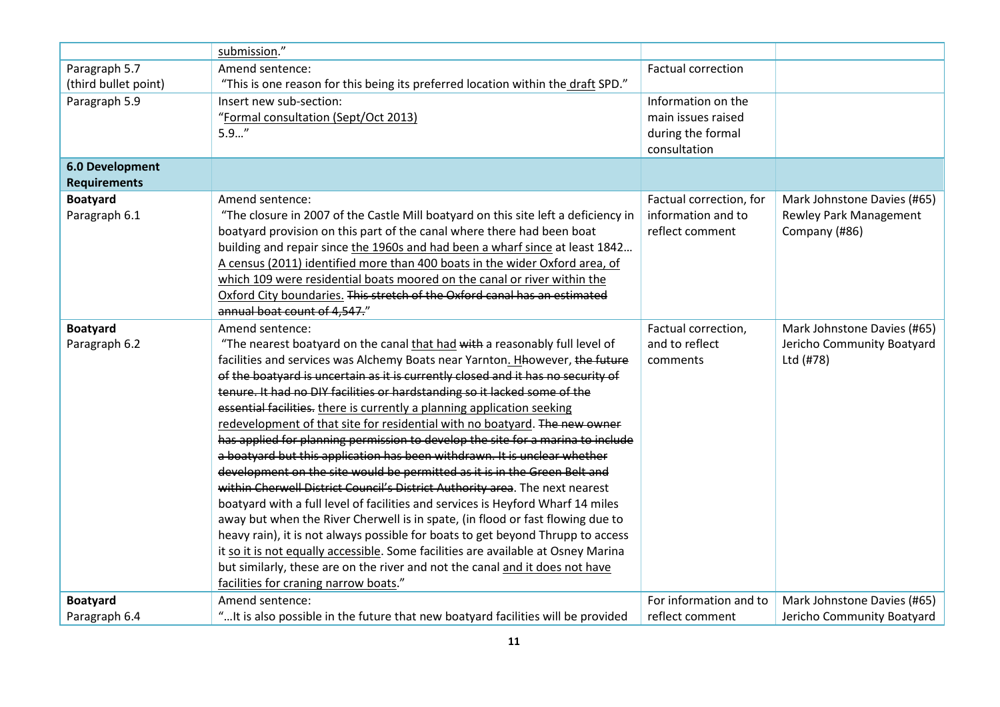|                        | submission."                                                                       |                           |                               |
|------------------------|------------------------------------------------------------------------------------|---------------------------|-------------------------------|
| Paragraph 5.7          | Amend sentence:                                                                    | <b>Factual correction</b> |                               |
| (third bullet point)   | "This is one reason for this being its preferred location within the draft SPD."   |                           |                               |
| Paragraph 5.9          | Insert new sub-section:                                                            | Information on the        |                               |
|                        | "Formal consultation (Sept/Oct 2013)                                               | main issues raised        |                               |
|                        | $5.9$ "                                                                            | during the formal         |                               |
|                        |                                                                                    | consultation              |                               |
| <b>6.0 Development</b> |                                                                                    |                           |                               |
| <b>Requirements</b>    |                                                                                    |                           |                               |
| <b>Boatyard</b>        | Amend sentence:                                                                    | Factual correction, for   | Mark Johnstone Davies (#65)   |
| Paragraph 6.1          | "The closure in 2007 of the Castle Mill boatyard on this site left a deficiency in | information and to        | <b>Rewley Park Management</b> |
|                        | boatyard provision on this part of the canal where there had been boat             | reflect comment           | Company (#86)                 |
|                        | building and repair since the 1960s and had been a wharf since at least 1842       |                           |                               |
|                        | A census (2011) identified more than 400 boats in the wider Oxford area, of        |                           |                               |
|                        | which 109 were residential boats moored on the canal or river within the           |                           |                               |
|                        | Oxford City boundaries. This stretch of the Oxford canal has an estimated          |                           |                               |
|                        | annual boat count of 4,547."                                                       |                           |                               |
| <b>Boatyard</b>        | Amend sentence:                                                                    | Factual correction,       | Mark Johnstone Davies (#65)   |
| Paragraph 6.2          | "The nearest boatyard on the canal that had with a reasonably full level of        | and to reflect            | Jericho Community Boatyard    |
|                        | facilities and services was Alchemy Boats near Yarnton. Hhowever, the future       | comments                  | Ltd (#78)                     |
|                        | of the boatyard is uncertain as it is currently closed and it has no security of   |                           |                               |
|                        | tenure. It had no DIY facilities or hardstanding so it lacked some of the          |                           |                               |
|                        | essential facilities. there is currently a planning application seeking            |                           |                               |
|                        | redevelopment of that site for residential with no boatyard. The new owner         |                           |                               |
|                        | has applied for planning permission to develop the site for a marina to include    |                           |                               |
|                        | a boatyard but this application has been withdrawn. It is unclear whether          |                           |                               |
|                        | development on the site would be permitted as it is in the Green Belt and          |                           |                               |
|                        | within Cherwell District Council's District Authority area. The next nearest       |                           |                               |
|                        | boatyard with a full level of facilities and services is Heyford Wharf 14 miles    |                           |                               |
|                        | away but when the River Cherwell is in spate, (in flood or fast flowing due to     |                           |                               |
|                        | heavy rain), it is not always possible for boats to get beyond Thrupp to access    |                           |                               |
|                        | it so it is not equally accessible. Some facilities are available at Osney Marina  |                           |                               |
|                        | but similarly, these are on the river and not the canal and it does not have       |                           |                               |
|                        | facilities for craning narrow boats."                                              |                           |                               |
| <b>Boatyard</b>        | Amend sentence:                                                                    | For information and to    | Mark Johnstone Davies (#65)   |
| Paragraph 6.4          | " It is also possible in the future that new boatyard facilities will be provided  | reflect comment           | Jericho Community Boatyard    |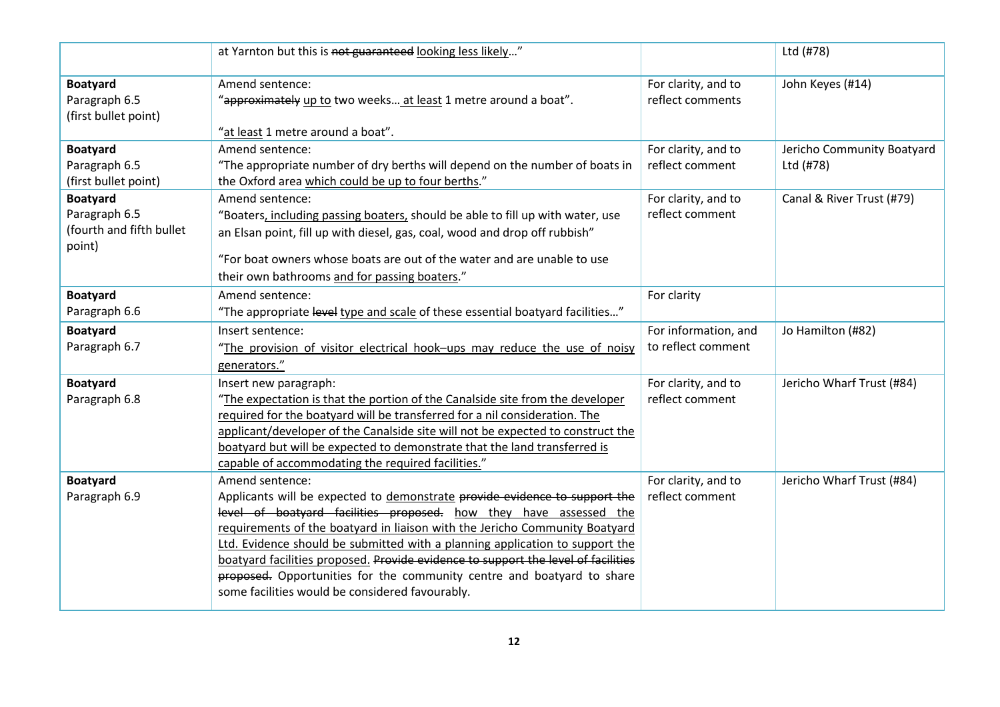|                                    | at Yarnton but this is not guaranteed looking less likely"                                                                |                                         | Ltd (#78)                  |
|------------------------------------|---------------------------------------------------------------------------------------------------------------------------|-----------------------------------------|----------------------------|
| <b>Boatyard</b><br>Paragraph 6.5   | Amend sentence:<br>"approximately up to two weeks at least 1 metre around a boat".                                        | For clarity, and to<br>reflect comments | John Keyes (#14)           |
| (first bullet point)               | "at least 1 metre around a boat".                                                                                         |                                         |                            |
| <b>Boatyard</b>                    | Amend sentence:                                                                                                           | For clarity, and to                     | Jericho Community Boatyard |
| Paragraph 6.5                      | "The appropriate number of dry berths will depend on the number of boats in                                               | reflect comment                         | Ltd (#78)                  |
| (first bullet point)               | the Oxford area which could be up to four berths."                                                                        |                                         |                            |
| <b>Boatyard</b>                    | Amend sentence:                                                                                                           | For clarity, and to                     | Canal & River Trust (#79)  |
| Paragraph 6.5                      | "Boaters, including passing boaters, should be able to fill up with water, use                                            | reflect comment                         |                            |
| (fourth and fifth bullet<br>point) | an Elsan point, fill up with diesel, gas, coal, wood and drop off rubbish"                                                |                                         |                            |
|                                    | "For boat owners whose boats are out of the water and are unable to use                                                   |                                         |                            |
|                                    | their own bathrooms and for passing boaters."                                                                             |                                         |                            |
| <b>Boatyard</b>                    | Amend sentence:                                                                                                           | For clarity                             |                            |
| Paragraph 6.6                      | "The appropriate level type and scale of these essential boatyard facilities"                                             |                                         |                            |
| <b>Boatyard</b>                    | Insert sentence:                                                                                                          | For information, and                    | Jo Hamilton (#82)          |
| Paragraph 6.7                      | "The provision of visitor electrical hook-ups may reduce the use of noisy                                                 | to reflect comment                      |                            |
|                                    |                                                                                                                           |                                         |                            |
|                                    | generators."                                                                                                              |                                         |                            |
| <b>Boatyard</b>                    | Insert new paragraph:                                                                                                     | For clarity, and to                     | Jericho Wharf Trust (#84)  |
| Paragraph 6.8                      | "The expectation is that the portion of the Canalside site from the developer                                             | reflect comment                         |                            |
|                                    | required for the boatyard will be transferred for a nil consideration. The                                                |                                         |                            |
|                                    | applicant/developer of the Canalside site will not be expected to construct the                                           |                                         |                            |
|                                    | boatyard but will be expected to demonstrate that the land transferred is                                                 |                                         |                            |
|                                    | capable of accommodating the required facilities."                                                                        |                                         |                            |
| <b>Boatyard</b>                    | Amend sentence:                                                                                                           | For clarity, and to                     | Jericho Wharf Trust (#84)  |
| Paragraph 6.9                      | Applicants will be expected to demonstrate provide evidence to support the                                                | reflect comment                         |                            |
|                                    | level of boatyard facilities proposed. how they have assessed the                                                         |                                         |                            |
|                                    | requirements of the boatyard in liaison with the Jericho Community Boatyard                                               |                                         |                            |
|                                    | Ltd. Evidence should be submitted with a planning application to support the                                              |                                         |                            |
|                                    | boatyard facilities proposed. Provide evidence to support the level of facilities                                         |                                         |                            |
|                                    | proposed. Opportunities for the community centre and boatyard to share<br>some facilities would be considered favourably. |                                         |                            |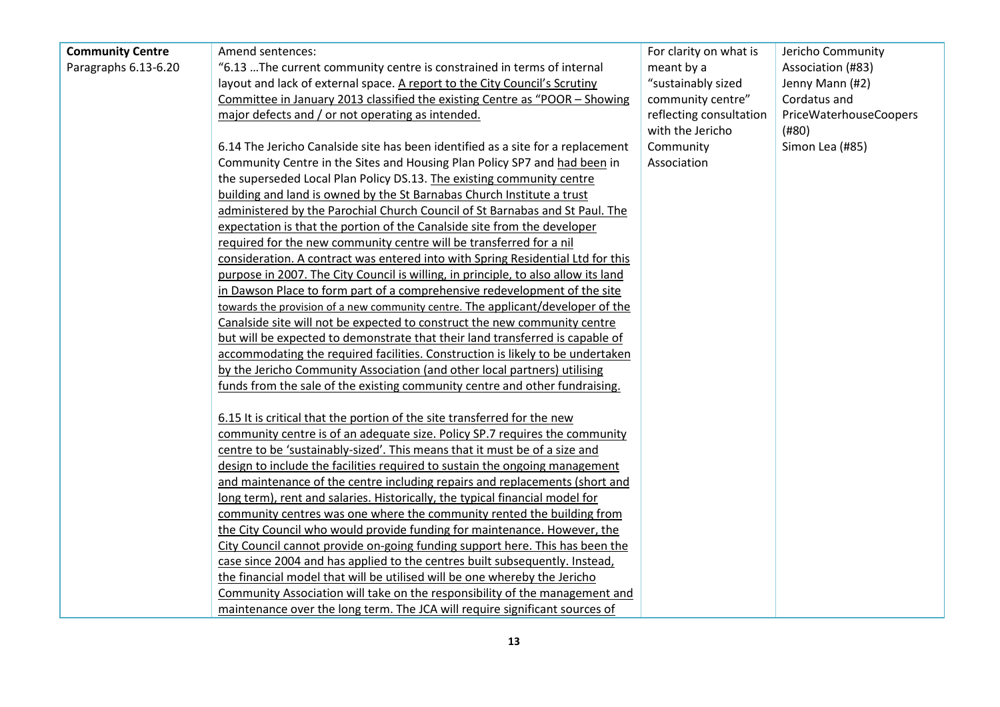| <b>Community Centre</b> | Amend sentences:                                                                   | For clarity on what is  | Jericho Community      |
|-------------------------|------------------------------------------------------------------------------------|-------------------------|------------------------|
| Paragraphs 6.13-6.20    | "6.13  The current community centre is constrained in terms of internal            | meant by a              | Association (#83)      |
|                         | layout and lack of external space. A report to the City Council's Scrutiny         | "sustainably sized      | Jenny Mann (#2)        |
|                         | Committee in January 2013 classified the existing Centre as "POOR - Showing        | community centre"       | Cordatus and           |
|                         | major defects and / or not operating as intended.                                  | reflecting consultation | PriceWaterhouseCoopers |
|                         |                                                                                    | with the Jericho        | (H80)                  |
|                         | 6.14 The Jericho Canalside site has been identified as a site for a replacement    | Community               | Simon Lea (#85)        |
|                         | Community Centre in the Sites and Housing Plan Policy SP7 and had been in          | Association             |                        |
|                         | the superseded Local Plan Policy DS.13. The existing community centre              |                         |                        |
|                         | building and land is owned by the St Barnabas Church Institute a trust             |                         |                        |
|                         | administered by the Parochial Church Council of St Barnabas and St Paul. The       |                         |                        |
|                         | expectation is that the portion of the Canalside site from the developer           |                         |                        |
|                         | required for the new community centre will be transferred for a nil                |                         |                        |
|                         | consideration. A contract was entered into with Spring Residential Ltd for this    |                         |                        |
|                         | purpose in 2007. The City Council is willing, in principle, to also allow its land |                         |                        |
|                         | in Dawson Place to form part of a comprehensive redevelopment of the site          |                         |                        |
|                         | towards the provision of a new community centre. The applicant/developer of the    |                         |                        |
|                         | Canalside site will not be expected to construct the new community centre          |                         |                        |
|                         | but will be expected to demonstrate that their land transferred is capable of      |                         |                        |
|                         | accommodating the required facilities. Construction is likely to be undertaken     |                         |                        |
|                         | by the Jericho Community Association (and other local partners) utilising          |                         |                        |
|                         | funds from the sale of the existing community centre and other fundraising.        |                         |                        |
|                         |                                                                                    |                         |                        |
|                         | 6.15 It is critical that the portion of the site transferred for the new           |                         |                        |
|                         | community centre is of an adequate size. Policy SP.7 requires the community        |                         |                        |
|                         | centre to be 'sustainably-sized'. This means that it must be of a size and         |                         |                        |
|                         | design to include the facilities required to sustain the ongoing management        |                         |                        |
|                         | and maintenance of the centre including repairs and replacements (short and        |                         |                        |
|                         | long term), rent and salaries. Historically, the typical financial model for       |                         |                        |
|                         | community centres was one where the community rented the building from             |                         |                        |
|                         | the City Council who would provide funding for maintenance. However, the           |                         |                        |
|                         | City Council cannot provide on-going funding support here. This has been the       |                         |                        |
|                         | case since 2004 and has applied to the centres built subsequently. Instead,        |                         |                        |
|                         | the financial model that will be utilised will be one whereby the Jericho          |                         |                        |
|                         | Community Association will take on the responsibility of the management and        |                         |                        |
|                         | maintenance over the long term. The JCA will require significant sources of        |                         |                        |
|                         |                                                                                    |                         |                        |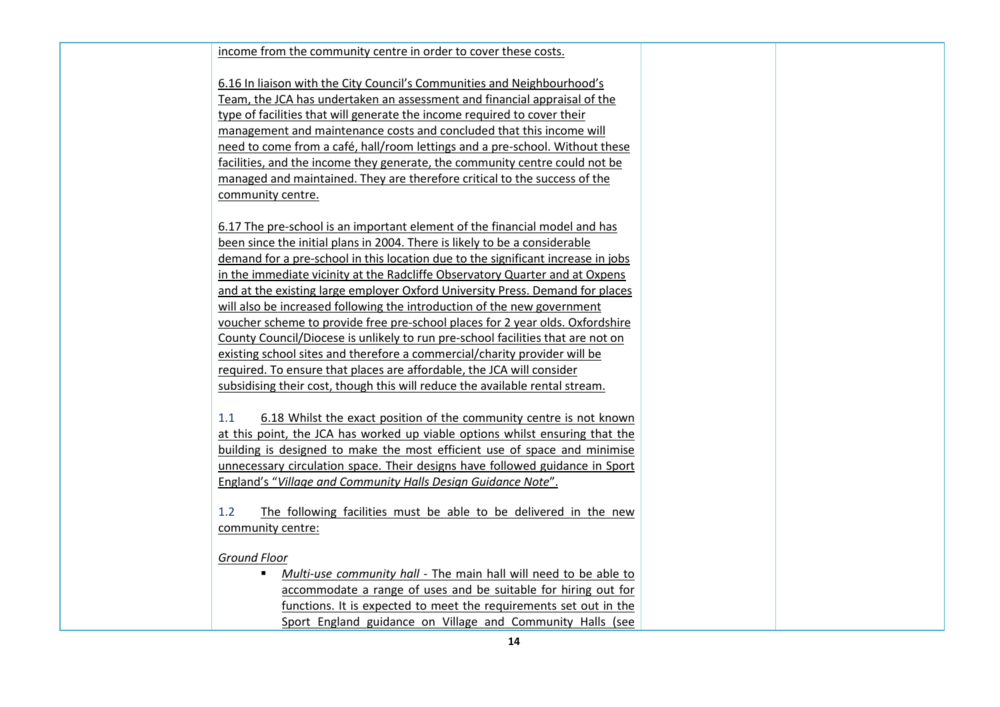#### income from the community centre in order to cover these costs.

6.16 In liaison with the City Council's Communities and Neighbourhood's Team, the JCA has undertaken an assessment and financial appraisal of the type of facilities that will generate the income required to cover their management and maintenance costs and concluded that this income will need to come from a café, hall/room lettings and a pre-school. Without these facilities, and the income they generate, the community centre could not be managed and maintained. They are therefore critical to the success of the community centre.

6.17 The pre-school is an important element of the financial model and has been since the initial plans in 2004. There is likely to be a considerable demand for a pre-school in this location due to the significant increase in jobs in the immediate vicinity at the Radcliffe Observatory Quarter and at Oxpens and at the existing large employer Oxford University Press. Demand for places will also be increased following the introduction of the new government voucher scheme to provide free pre-school places for 2 year olds. Oxfordshire County Council/Diocese is unlikely to run pre-school facilities that are not on existing school sites and therefore a commercial/charity provider will be required. To ensure that places are affordable, the JCA will consider subsidising their cost, though this will reduce the available rental stream.

1.1 6.18 Whilst the exact position of the community centre is not known at this point, the JCA has worked up viable options whilst ensuring that the building is designed to make the most efficient use of space and minimise unnecessary circulation space. Their designs have followed guidance in Sport England's "*Village and Community Halls Design Guidance Note*".

1.2 The following facilities must be able to be delivered in the new community centre:

*Ground Floor*

 *Multi-use community hall* - The main hall will need to be able to accommodate a range of uses and be suitable for hiring out for functions. It is expected to meet the requirements set out in the Sport England guidance on Village and Community Halls (see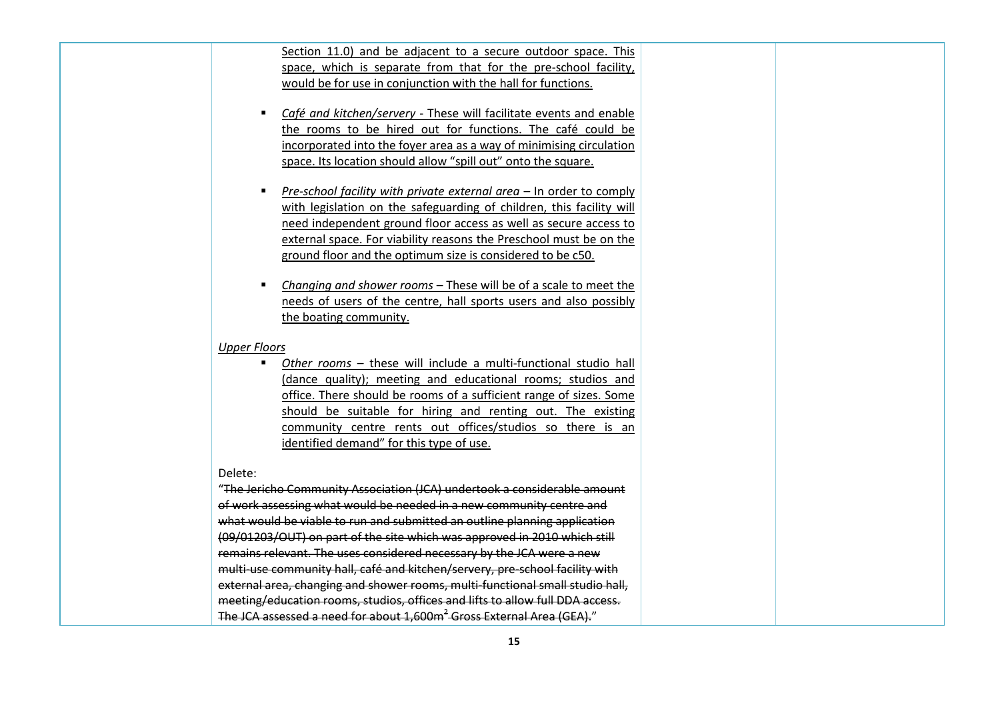| Section 11.0) and be adjacent to a secure outdoor space. This   |  |  |  |
|-----------------------------------------------------------------|--|--|--|
| space, which is separate from that for the pre-school facility, |  |  |  |
| would be for use in conjunction with the hall for functions.    |  |  |  |

- *Café and kitchen/servery* These will facilitate events and enable the rooms to be hired out for functions. The café could be incorporated into the foyer area as a way of minimising circulation space. Its location should allow "spill out" onto the square.
- *Pre-school facility with private external area* In order to comply with legislation on the safeguarding of children, this facility will need independent ground floor access as well as secure access to external space. For viability reasons the Preschool must be on the ground floor and the optimum size is considered to be c50.
- *Changing and shower rooms* These will be of a scale to meet the needs of users of the centre, hall sports users and also possibly the boating community.

*Upper Floors*

 *Other rooms* – these will include a multi-functional studio hall (dance quality); meeting and educational rooms; studios and office. There should be rooms of a sufficient range of sizes. Some should be suitable for hiring and renting out. The existing community centre rents out offices/studios so there is an identified demand" for this type of use.

#### Delete:

"The Jericho Community Association (JCA) undertook a considerable amount of work assessing what would be needed in a new community centre and what would be viable to run and submitted an outline planning application (09/01203/OUT) on part of the site which was approved in 2010 which still remains relevant. The uses considered necessary by the JCA were a new multi-use community hall, café and kitchen/servery, pre-school facility with external area, changing and shower rooms, multi-functional small studio hall, meeting/education rooms, studios, offices and lifts to allow full DDA access. The JCA assessed a need for about 1,600m<sup>2</sup> Gross External Area (GEA)."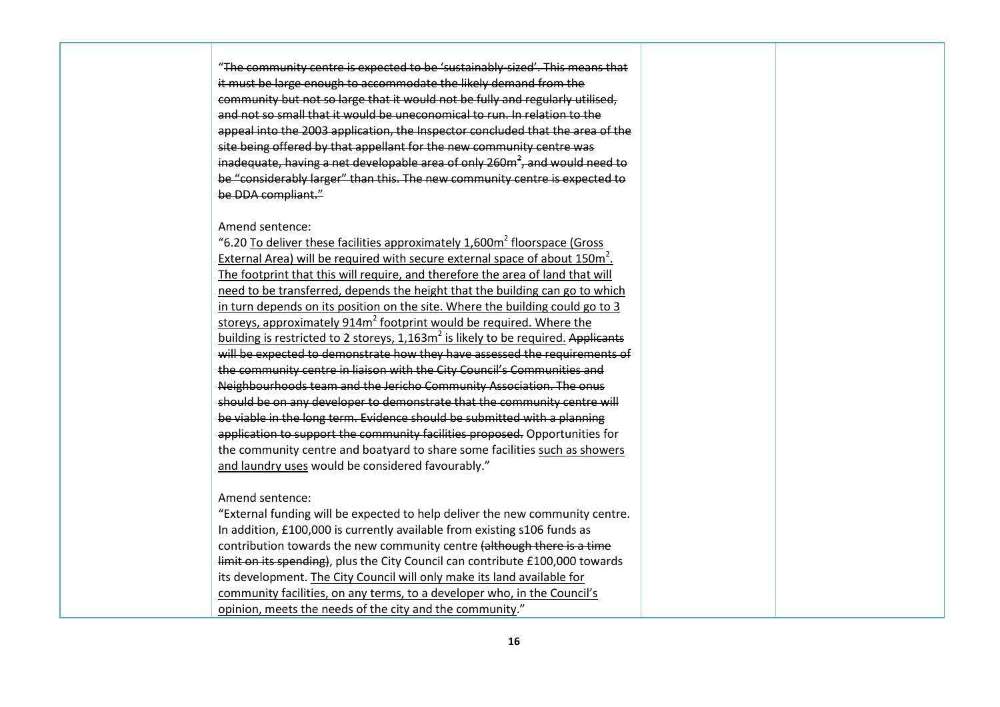"The community centre is expected to be 'sustainably-sized'. This means that it must be large enough to accommodate the likely demand from the community but not so large that it would not be fully and regularly utilised, and not so small that it would be uneconomical to run. In relation to the appeal into the 2003 application, the Inspector concluded that the area of the site being offered by that appellant for the new community centre was inadequate, having a net developable area of only 260 $\text{m}^2$ , and would need to be "considerably larger" than this. The new community centre is expected to be DDA compliant."

#### Amend sentence:

"6.20 To deliver these facilities approximately  $1.600m<sup>2</sup>$  floorspace (Gross) External Area) will be required with secure external space of about  $150m^2$ . The footprint that this will require, and therefore the area of land that will need to be transferred, depends the height that the building can go to which in turn depends on its position on the site. Where the building could go to 3 storeys, approximately 914m<sup>2</sup> footprint would be required. Where the building is restricted to 2 storeys,  $1,163m^2$  is likely to be required. Applicants will be expected to demonstrate how they have assessed the requirements of the community centre in liaison with the City Council's Communities and Neighbourhoods team and the Jericho Community Association. The onus should be on any developer to demonstrate that the community centre will be viable in the long term. Evidence should be submitted with a planning application to support the community facilities proposed. Opportunities for the community centre and boatyard to share some facilities such as showers and laundry uses would be considered favourably."

#### Amend sentence:

"External funding will be expected to help deliver the new community centre. In addition, £100,000 is currently available from existing s106 funds as contribution towards the new community centre (although there is a time limit on its spending), plus the City Council can contribute £100,000 towards its development. The City Council will only make its land available for community facilities, on any terms, to a developer who, in the Council's opinion, meets the needs of the city and the community."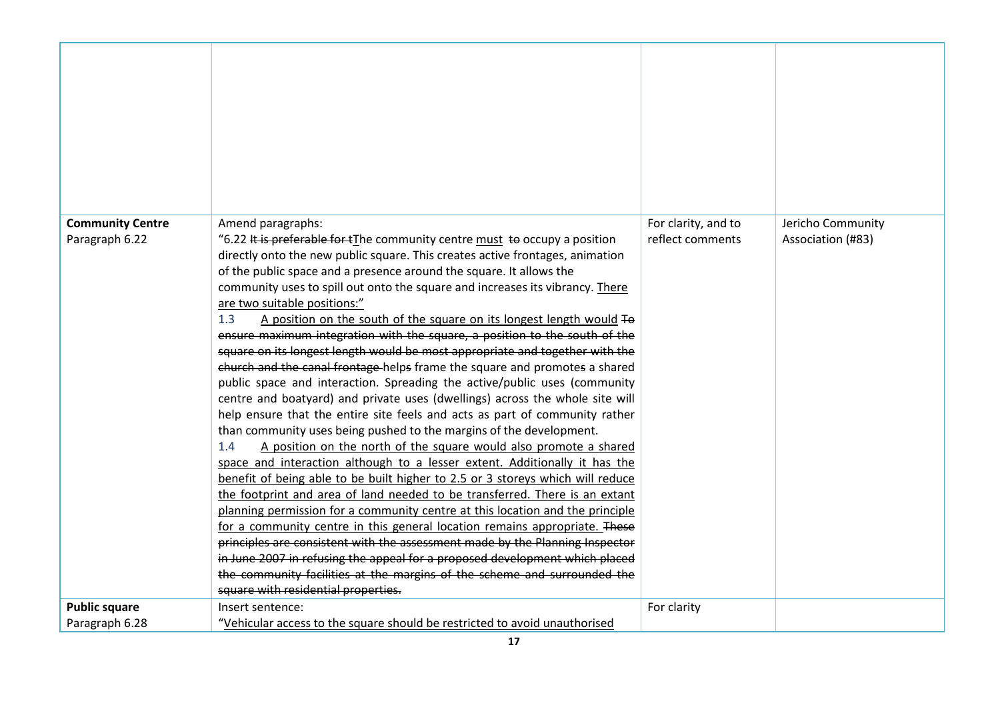| <b>Community Centre</b><br>Paragraph 6.22 | Amend paragraphs:<br>"6.22 It is preferable for tThe community centre must to occupy a position                                                      | For clarity, and to<br>reflect comments | Jericho Community<br>Association (#83) |
|-------------------------------------------|------------------------------------------------------------------------------------------------------------------------------------------------------|-----------------------------------------|----------------------------------------|
|                                           | directly onto the new public square. This creates active frontages, animation                                                                        |                                         |                                        |
|                                           | of the public space and a presence around the square. It allows the<br>community uses to spill out onto the square and increases its vibrancy. There |                                         |                                        |
|                                           | are two suitable positions:"                                                                                                                         |                                         |                                        |
|                                           | 1.3<br>A position on the south of the square on its longest length would To                                                                          |                                         |                                        |
|                                           | ensure maximum integration with the square, a position to the south of the                                                                           |                                         |                                        |
|                                           | square on its longest length would be most appropriate and together with the                                                                         |                                         |                                        |
|                                           | church and the canal frontage helps frame the square and promotes a shared                                                                           |                                         |                                        |
|                                           | public space and interaction. Spreading the active/public uses (community                                                                            |                                         |                                        |
|                                           | centre and boatyard) and private uses (dwellings) across the whole site will                                                                         |                                         |                                        |
|                                           | help ensure that the entire site feels and acts as part of community rather                                                                          |                                         |                                        |
|                                           | than community uses being pushed to the margins of the development.                                                                                  |                                         |                                        |
|                                           | A position on the north of the square would also promote a shared<br>1.4                                                                             |                                         |                                        |
|                                           | space and interaction although to a lesser extent. Additionally it has the                                                                           |                                         |                                        |
|                                           | benefit of being able to be built higher to 2.5 or 3 storeys which will reduce                                                                       |                                         |                                        |
|                                           | the footprint and area of land needed to be transferred. There is an extant                                                                          |                                         |                                        |
|                                           | planning permission for a community centre at this location and the principle                                                                        |                                         |                                        |
|                                           | for a community centre in this general location remains appropriate. These                                                                           |                                         |                                        |
|                                           | principles are consistent with the assessment made by the Planning Inspector                                                                         |                                         |                                        |
|                                           | in June 2007 in refusing the appeal for a proposed development which placed                                                                          |                                         |                                        |
|                                           | the community facilities at the margins of the scheme and surrounded the<br>square with residential properties.                                      |                                         |                                        |
|                                           |                                                                                                                                                      |                                         |                                        |
| <b>Public square</b>                      | Insert sentence:                                                                                                                                     | For clarity                             |                                        |
| Paragraph 6.28                            | "Vehicular access to the square should be restricted to avoid unauthorised                                                                           |                                         |                                        |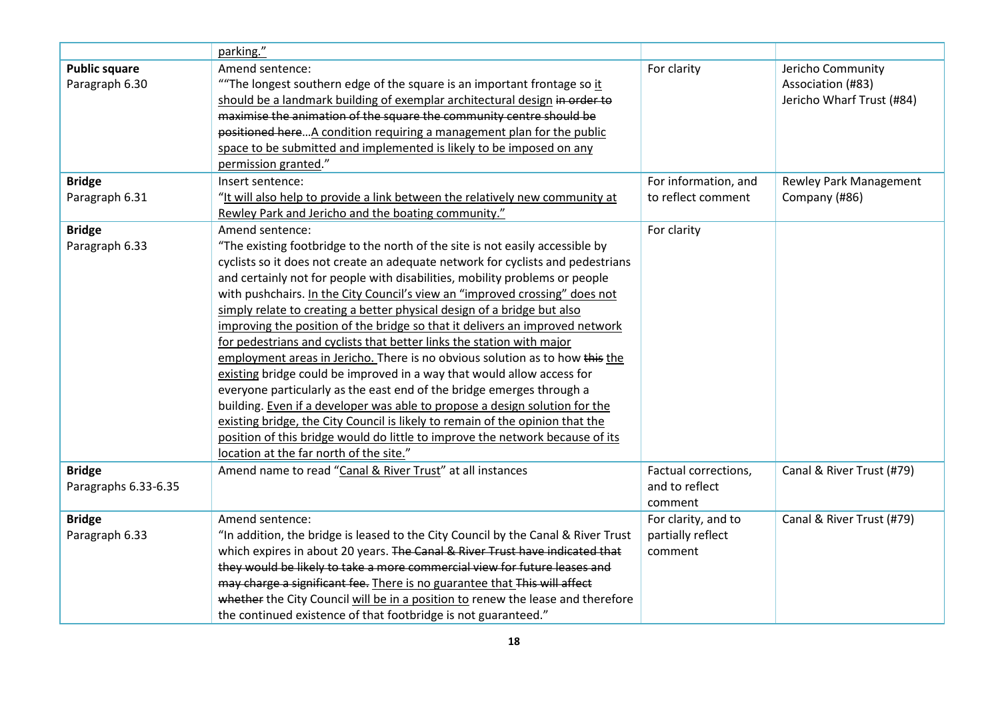|                      | parking."                                                                                  |                      |                                        |
|----------------------|--------------------------------------------------------------------------------------------|----------------------|----------------------------------------|
|                      |                                                                                            |                      |                                        |
| <b>Public square</b> | Amend sentence:<br>"The longest southern edge of the square is an important frontage so it | For clarity          | Jericho Community<br>Association (#83) |
| Paragraph 6.30       |                                                                                            |                      |                                        |
|                      | should be a landmark building of exemplar architectural design in order to                 |                      | Jericho Wharf Trust (#84)              |
|                      | maximise the animation of the square the community centre should be                        |                      |                                        |
|                      | positioned here A condition requiring a management plan for the public                     |                      |                                        |
|                      | space to be submitted and implemented is likely to be imposed on any                       |                      |                                        |
|                      | permission granted."                                                                       |                      |                                        |
| <b>Bridge</b>        | Insert sentence:                                                                           | For information, and | <b>Rewley Park Management</b>          |
| Paragraph 6.31       | "It will also help to provide a link between the relatively new community at               | to reflect comment   | Company (#86)                          |
|                      | Rewley Park and Jericho and the boating community."                                        |                      |                                        |
| <b>Bridge</b>        | Amend sentence:                                                                            | For clarity          |                                        |
| Paragraph 6.33       | "The existing footbridge to the north of the site is not easily accessible by              |                      |                                        |
|                      | cyclists so it does not create an adequate network for cyclists and pedestrians            |                      |                                        |
|                      | and certainly not for people with disabilities, mobility problems or people                |                      |                                        |
|                      | with pushchairs. In the City Council's view an "improved crossing" does not                |                      |                                        |
|                      | simply relate to creating a better physical design of a bridge but also                    |                      |                                        |
|                      | improving the position of the bridge so that it delivers an improved network               |                      |                                        |
|                      | for pedestrians and cyclists that better links the station with major                      |                      |                                        |
|                      | employment areas in Jericho. There is no obvious solution as to how this the               |                      |                                        |
|                      | existing bridge could be improved in a way that would allow access for                     |                      |                                        |
|                      | everyone particularly as the east end of the bridge emerges through a                      |                      |                                        |
|                      | building. Even if a developer was able to propose a design solution for the                |                      |                                        |
|                      | existing bridge, the City Council is likely to remain of the opinion that the              |                      |                                        |
|                      | position of this bridge would do little to improve the network because of its              |                      |                                        |
|                      | location at the far north of the site."                                                    |                      |                                        |
| <b>Bridge</b>        | Amend name to read "Canal & River Trust" at all instances                                  | Factual corrections, | Canal & River Trust (#79)              |
| Paragraphs 6.33-6.35 |                                                                                            | and to reflect       |                                        |
|                      |                                                                                            | comment              |                                        |
| <b>Bridge</b>        | Amend sentence:                                                                            | For clarity, and to  | Canal & River Trust (#79)              |
| Paragraph 6.33       | "In addition, the bridge is leased to the City Council by the Canal & River Trust          | partially reflect    |                                        |
|                      | which expires in about 20 years. The Canal & River Trust have indicated that               | comment              |                                        |
|                      | they would be likely to take a more commercial view for future leases and                  |                      |                                        |
|                      | may charge a significant fee. There is no guarantee that This will affect                  |                      |                                        |
|                      | whether the City Council will be in a position to renew the lease and therefore            |                      |                                        |
|                      | the continued existence of that footbridge is not guaranteed."                             |                      |                                        |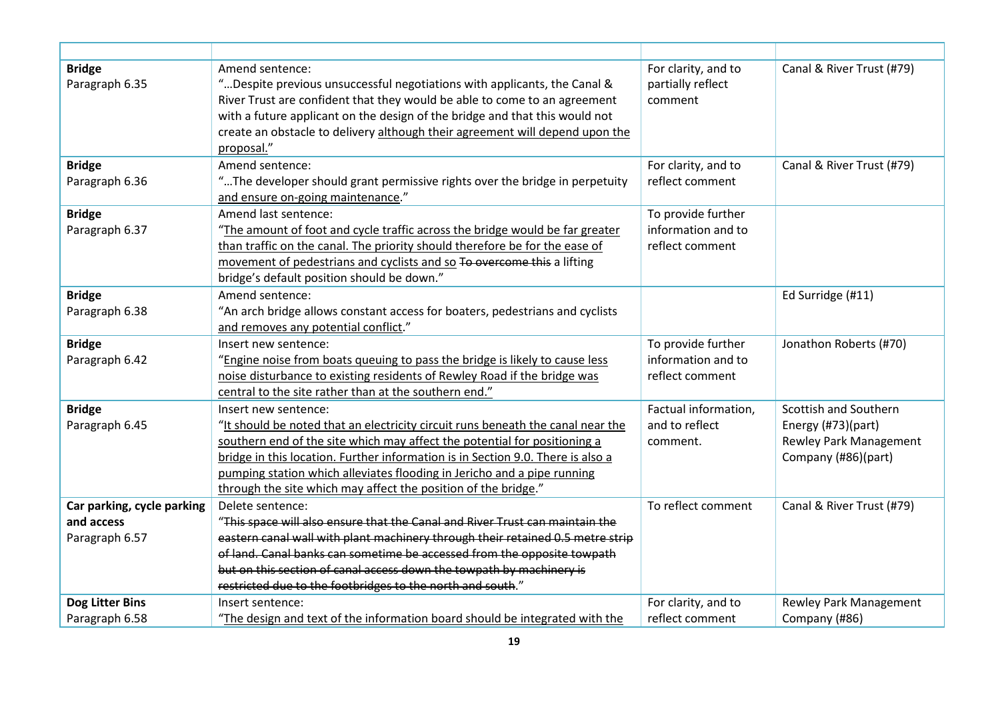| <b>Bridge</b><br>Paragraph 6.35 | Amend sentence:<br>"Despite previous unsuccessful negotiations with applicants, the Canal &<br>River Trust are confident that they would be able to come to an agreement<br>with a future applicant on the design of the bridge and that this would not<br>create an obstacle to delivery although their agreement will depend upon the<br>proposal."                                                                | For clarity, and to<br>partially reflect<br>comment         | Canal & River Trust (#79)                                                                           |
|---------------------------------|----------------------------------------------------------------------------------------------------------------------------------------------------------------------------------------------------------------------------------------------------------------------------------------------------------------------------------------------------------------------------------------------------------------------|-------------------------------------------------------------|-----------------------------------------------------------------------------------------------------|
| <b>Bridge</b>                   | Amend sentence:                                                                                                                                                                                                                                                                                                                                                                                                      | For clarity, and to                                         | Canal & River Trust (#79)                                                                           |
| Paragraph 6.36                  | "The developer should grant permissive rights over the bridge in perpetuity<br>and ensure on-going maintenance."                                                                                                                                                                                                                                                                                                     | reflect comment                                             |                                                                                                     |
| <b>Bridge</b>                   | Amend last sentence:                                                                                                                                                                                                                                                                                                                                                                                                 | To provide further                                          |                                                                                                     |
| Paragraph 6.37                  | "The amount of foot and cycle traffic across the bridge would be far greater<br>than traffic on the canal. The priority should therefore be for the ease of<br>movement of pedestrians and cyclists and so To overcome this a lifting<br>bridge's default position should be down."                                                                                                                                  | information and to<br>reflect comment                       |                                                                                                     |
| <b>Bridge</b>                   | Amend sentence:                                                                                                                                                                                                                                                                                                                                                                                                      |                                                             | Ed Surridge (#11)                                                                                   |
| Paragraph 6.38                  | "An arch bridge allows constant access for boaters, pedestrians and cyclists<br>and removes any potential conflict."                                                                                                                                                                                                                                                                                                 |                                                             |                                                                                                     |
| <b>Bridge</b><br>Paragraph 6.42 | Insert new sentence:<br>"Engine noise from boats queuing to pass the bridge is likely to cause less<br>noise disturbance to existing residents of Rewley Road if the bridge was<br>central to the site rather than at the southern end."                                                                                                                                                                             | To provide further<br>information and to<br>reflect comment | Jonathon Roberts (#70)                                                                              |
| <b>Bridge</b><br>Paragraph 6.45 | Insert new sentence:<br>"It should be noted that an electricity circuit runs beneath the canal near the<br>southern end of the site which may affect the potential for positioning a<br>bridge in this location. Further information is in Section 9.0. There is also a<br>pumping station which alleviates flooding in Jericho and a pipe running<br>through the site which may affect the position of the bridge." | Factual information,<br>and to reflect<br>comment.          | Scottish and Southern<br>Energy (#73)(part)<br><b>Rewley Park Management</b><br>Company (#86)(part) |
| Car parking, cycle parking      | Delete sentence:                                                                                                                                                                                                                                                                                                                                                                                                     | To reflect comment                                          | Canal & River Trust (#79)                                                                           |
| and access                      | "This space will also ensure that the Canal and River Trust can maintain the                                                                                                                                                                                                                                                                                                                                         |                                                             |                                                                                                     |
| Paragraph 6.57                  | eastern canal wall with plant machinery through their retained 0.5 metre strip<br>of land. Canal banks can sometime be accessed from the opposite towpath<br>but on this section of canal access down the towpath by machinery is<br>restricted due to the footbridges to the north and south."                                                                                                                      |                                                             |                                                                                                     |
| <b>Dog Litter Bins</b>          | Insert sentence:                                                                                                                                                                                                                                                                                                                                                                                                     | For clarity, and to                                         | Rewley Park Management                                                                              |
| Paragraph 6.58                  | "The design and text of the information board should be integrated with the                                                                                                                                                                                                                                                                                                                                          | reflect comment                                             | Company (#86)                                                                                       |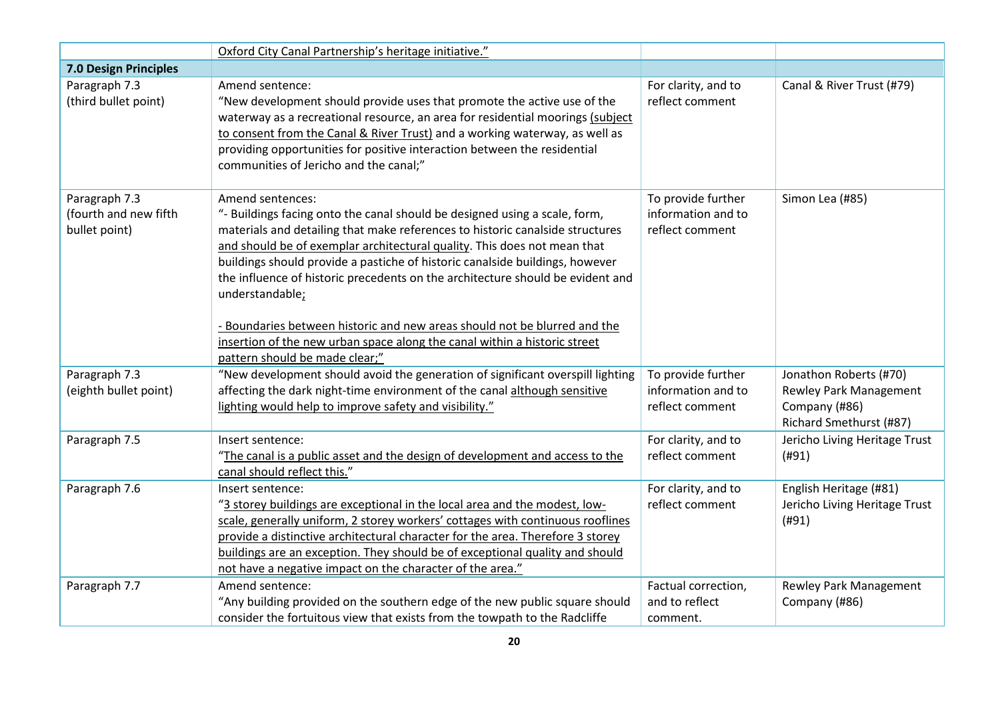|                                                         | Oxford City Canal Partnership's heritage initiative."                                                                                                                                                                                                                                                                                                                                                                                                                                                                                                                                                                                        |                                                             |                                                                                              |
|---------------------------------------------------------|----------------------------------------------------------------------------------------------------------------------------------------------------------------------------------------------------------------------------------------------------------------------------------------------------------------------------------------------------------------------------------------------------------------------------------------------------------------------------------------------------------------------------------------------------------------------------------------------------------------------------------------------|-------------------------------------------------------------|----------------------------------------------------------------------------------------------|
| 7.0 Design Principles                                   |                                                                                                                                                                                                                                                                                                                                                                                                                                                                                                                                                                                                                                              |                                                             |                                                                                              |
| Paragraph 7.3<br>(third bullet point)                   | Amend sentence:<br>"New development should provide uses that promote the active use of the<br>waterway as a recreational resource, an area for residential moorings (subject<br>to consent from the Canal & River Trust) and a working waterway, as well as<br>providing opportunities for positive interaction between the residential<br>communities of Jericho and the canal;"                                                                                                                                                                                                                                                            | For clarity, and to<br>reflect comment                      | Canal & River Trust (#79)                                                                    |
| Paragraph 7.3<br>(fourth and new fifth<br>bullet point) | Amend sentences:<br>"- Buildings facing onto the canal should be designed using a scale, form,<br>materials and detailing that make references to historic canalside structures<br>and should be of exemplar architectural quality. This does not mean that<br>buildings should provide a pastiche of historic canalside buildings, however<br>the influence of historic precedents on the architecture should be evident and<br>understandable;<br>- Boundaries between historic and new areas should not be blurred and the<br>insertion of the new urban space along the canal within a historic street<br>pattern should be made clear;" | To provide further<br>information and to<br>reflect comment | Simon Lea (#85)                                                                              |
| Paragraph 7.3<br>(eighth bullet point)                  | "New development should avoid the generation of significant overspill lighting<br>affecting the dark night-time environment of the canal although sensitive<br>lighting would help to improve safety and visibility."                                                                                                                                                                                                                                                                                                                                                                                                                        | To provide further<br>information and to<br>reflect comment | Jonathon Roberts (#70)<br>Rewley Park Management<br>Company (#86)<br>Richard Smethurst (#87) |
| Paragraph 7.5                                           | Insert sentence:<br>"The canal is a public asset and the design of development and access to the<br>canal should reflect this."                                                                                                                                                                                                                                                                                                                                                                                                                                                                                                              | For clarity, and to<br>reflect comment                      | Jericho Living Heritage Trust<br>(#91)                                                       |
| Paragraph 7.6                                           | Insert sentence:<br>"3 storey buildings are exceptional in the local area and the modest, low-<br>scale, generally uniform, 2 storey workers' cottages with continuous rooflines<br>provide a distinctive architectural character for the area. Therefore 3 storey<br>buildings are an exception. They should be of exceptional quality and should<br>not have a negative impact on the character of the area."                                                                                                                                                                                                                              | For clarity, and to<br>reflect comment                      | English Heritage (#81)<br>Jericho Living Heritage Trust<br>(H91)                             |
| Paragraph 7.7                                           | Amend sentence:<br>"Any building provided on the southern edge of the new public square should<br>consider the fortuitous view that exists from the towpath to the Radcliffe                                                                                                                                                                                                                                                                                                                                                                                                                                                                 | Factual correction,<br>and to reflect<br>comment.           | <b>Rewley Park Management</b><br>Company (#86)                                               |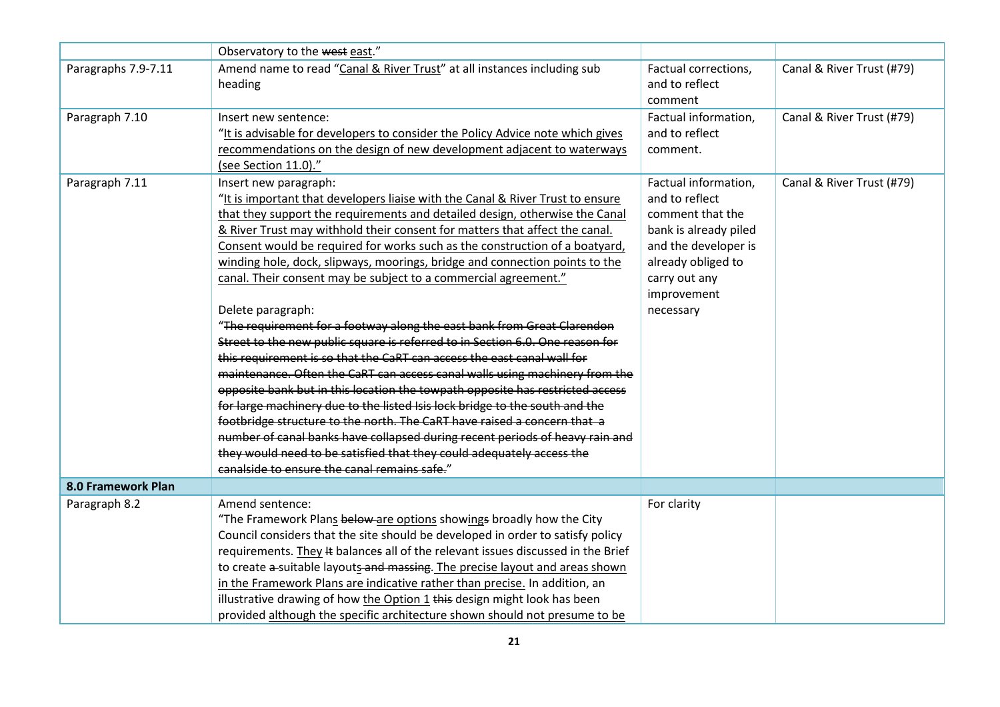|                     | Observatory to the west east."                                                  |                       |                           |
|---------------------|---------------------------------------------------------------------------------|-----------------------|---------------------------|
| Paragraphs 7.9-7.11 | Amend name to read "Canal & River Trust" at all instances including sub         | Factual corrections,  | Canal & River Trust (#79) |
|                     | heading                                                                         | and to reflect        |                           |
|                     |                                                                                 | comment               |                           |
| Paragraph 7.10      | Insert new sentence:                                                            | Factual information,  | Canal & River Trust (#79) |
|                     | "It is advisable for developers to consider the Policy Advice note which gives  | and to reflect        |                           |
|                     | recommendations on the design of new development adjacent to waterways          | comment.              |                           |
|                     | (see Section 11.0)."                                                            |                       |                           |
| Paragraph 7.11      | Insert new paragraph:                                                           | Factual information,  | Canal & River Trust (#79) |
|                     | "It is important that developers liaise with the Canal & River Trust to ensure  | and to reflect        |                           |
|                     | that they support the requirements and detailed design, otherwise the Canal     | comment that the      |                           |
|                     | & River Trust may withhold their consent for matters that affect the canal.     | bank is already piled |                           |
|                     | Consent would be required for works such as the construction of a boatyard,     | and the developer is  |                           |
|                     | winding hole, dock, slipways, moorings, bridge and connection points to the     | already obliged to    |                           |
|                     | canal. Their consent may be subject to a commercial agreement."                 | carry out any         |                           |
|                     |                                                                                 | improvement           |                           |
|                     | Delete paragraph:                                                               | necessary             |                           |
|                     | "The requirement for a footway along the east bank from Great Clarendon         |                       |                           |
|                     | Street to the new public square is referred to in Section 6.0. One reason for   |                       |                           |
|                     | this requirement is so that the CaRT can access the east canal wall for         |                       |                           |
|                     | maintenance. Often the CaRT can access canal walls using machinery from the     |                       |                           |
|                     | opposite bank but in this location the towpath opposite has restricted access   |                       |                           |
|                     | for large machinery due to the listed Isis lock bridge to the south and the     |                       |                           |
|                     | footbridge structure to the north. The CaRT have raised a concern that a        |                       |                           |
|                     | number of canal banks have collapsed during recent periods of heavy rain and    |                       |                           |
|                     | they would need to be satisfied that they could adequately access the           |                       |                           |
|                     | canalside to ensure the canal remains safe."                                    |                       |                           |
| 8.0 Framework Plan  |                                                                                 |                       |                           |
| Paragraph 8.2       | Amend sentence:                                                                 | For clarity           |                           |
|                     | "The Framework Plans below are options showings broadly how the City            |                       |                           |
|                     | Council considers that the site should be developed in order to satisfy policy  |                       |                           |
|                     | requirements. They # balances all of the relevant issues discussed in the Brief |                       |                           |
|                     | to create a-suitable layouts-and massing. The precise layout and areas shown    |                       |                           |
|                     | in the Framework Plans are indicative rather than precise. In addition, an      |                       |                           |
|                     | illustrative drawing of how the Option 1 this design might look has been        |                       |                           |
|                     | provided although the specific architecture shown should not presume to be      |                       |                           |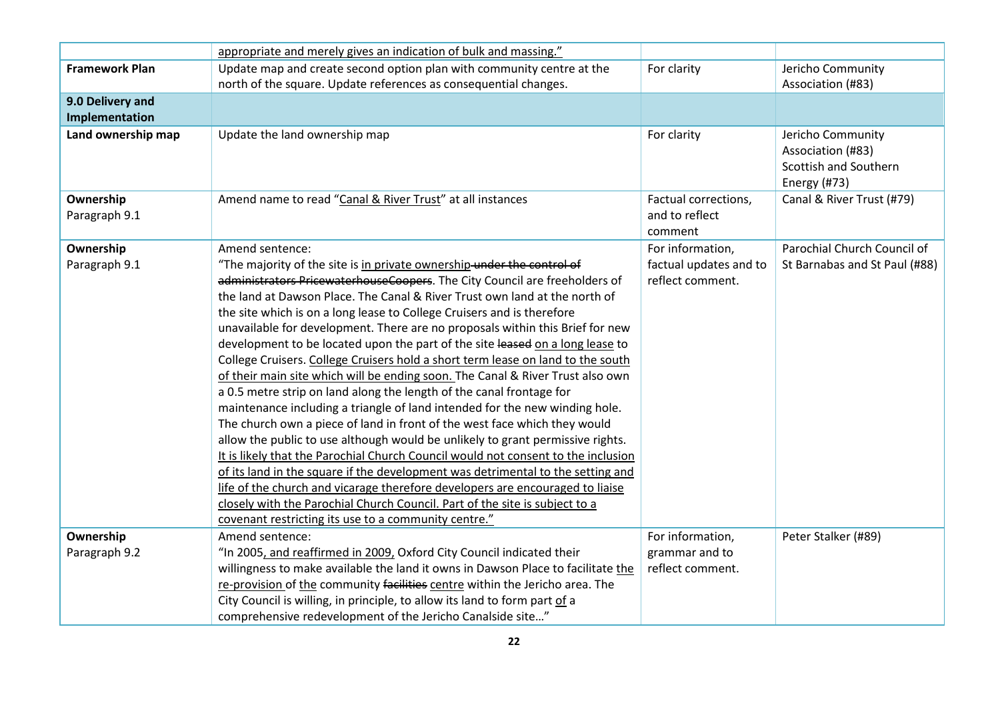|                            | appropriate and merely gives an indication of bulk and massing."                                                                                                                                                                                                                                                                                                                                                                                                                                                                                                                                                                                                                                                                                                                                                                                                                                                                                                                                                                                                                                                                                                                                                                                                                                                                                                          |                                                   |                                                                                 |
|----------------------------|---------------------------------------------------------------------------------------------------------------------------------------------------------------------------------------------------------------------------------------------------------------------------------------------------------------------------------------------------------------------------------------------------------------------------------------------------------------------------------------------------------------------------------------------------------------------------------------------------------------------------------------------------------------------------------------------------------------------------------------------------------------------------------------------------------------------------------------------------------------------------------------------------------------------------------------------------------------------------------------------------------------------------------------------------------------------------------------------------------------------------------------------------------------------------------------------------------------------------------------------------------------------------------------------------------------------------------------------------------------------------|---------------------------------------------------|---------------------------------------------------------------------------------|
| <b>Framework Plan</b>      | Update map and create second option plan with community centre at the                                                                                                                                                                                                                                                                                                                                                                                                                                                                                                                                                                                                                                                                                                                                                                                                                                                                                                                                                                                                                                                                                                                                                                                                                                                                                                     | For clarity                                       | Jericho Community                                                               |
|                            | north of the square. Update references as consequential changes.                                                                                                                                                                                                                                                                                                                                                                                                                                                                                                                                                                                                                                                                                                                                                                                                                                                                                                                                                                                                                                                                                                                                                                                                                                                                                                          |                                                   | Association (#83)                                                               |
| 9.0 Delivery and           |                                                                                                                                                                                                                                                                                                                                                                                                                                                                                                                                                                                                                                                                                                                                                                                                                                                                                                                                                                                                                                                                                                                                                                                                                                                                                                                                                                           |                                                   |                                                                                 |
| Implementation             |                                                                                                                                                                                                                                                                                                                                                                                                                                                                                                                                                                                                                                                                                                                                                                                                                                                                                                                                                                                                                                                                                                                                                                                                                                                                                                                                                                           |                                                   |                                                                                 |
| Land ownership map         | Update the land ownership map                                                                                                                                                                                                                                                                                                                                                                                                                                                                                                                                                                                                                                                                                                                                                                                                                                                                                                                                                                                                                                                                                                                                                                                                                                                                                                                                             | For clarity                                       | Jericho Community<br>Association (#83)<br>Scottish and Southern<br>Energy (#73) |
| Ownership<br>Paragraph 9.1 | Amend name to read "Canal & River Trust" at all instances                                                                                                                                                                                                                                                                                                                                                                                                                                                                                                                                                                                                                                                                                                                                                                                                                                                                                                                                                                                                                                                                                                                                                                                                                                                                                                                 | Factual corrections,<br>and to reflect<br>comment | Canal & River Trust (#79)                                                       |
| Ownership                  | Amend sentence:                                                                                                                                                                                                                                                                                                                                                                                                                                                                                                                                                                                                                                                                                                                                                                                                                                                                                                                                                                                                                                                                                                                                                                                                                                                                                                                                                           | For information,                                  | Parochial Church Council of                                                     |
| Paragraph 9.1              | "The majority of the site is in private ownership-under the control of<br>administrators PricewaterhouseCoopers. The City Council are freeholders of<br>the land at Dawson Place. The Canal & River Trust own land at the north of<br>the site which is on a long lease to College Cruisers and is therefore<br>unavailable for development. There are no proposals within this Brief for new<br>development to be located upon the part of the site leased on a long lease to<br>College Cruisers. College Cruisers hold a short term lease on land to the south<br>of their main site which will be ending soon. The Canal & River Trust also own<br>a 0.5 metre strip on land along the length of the canal frontage for<br>maintenance including a triangle of land intended for the new winding hole.<br>The church own a piece of land in front of the west face which they would<br>allow the public to use although would be unlikely to grant permissive rights.<br>It is likely that the Parochial Church Council would not consent to the inclusion<br>of its land in the square if the development was detrimental to the setting and<br>life of the church and vicarage therefore developers are encouraged to liaise<br>closely with the Parochial Church Council. Part of the site is subject to a<br>covenant restricting its use to a community centre." | factual updates and to<br>reflect comment.        | St Barnabas and St Paul (#88)                                                   |
| Ownership                  | Amend sentence:                                                                                                                                                                                                                                                                                                                                                                                                                                                                                                                                                                                                                                                                                                                                                                                                                                                                                                                                                                                                                                                                                                                                                                                                                                                                                                                                                           | For information,                                  | Peter Stalker (#89)                                                             |
| Paragraph 9.2              | "In 2005, and reaffirmed in 2009, Oxford City Council indicated their                                                                                                                                                                                                                                                                                                                                                                                                                                                                                                                                                                                                                                                                                                                                                                                                                                                                                                                                                                                                                                                                                                                                                                                                                                                                                                     | grammar and to                                    |                                                                                 |
|                            | willingness to make available the land it owns in Dawson Place to facilitate the                                                                                                                                                                                                                                                                                                                                                                                                                                                                                                                                                                                                                                                                                                                                                                                                                                                                                                                                                                                                                                                                                                                                                                                                                                                                                          | reflect comment.                                  |                                                                                 |
|                            | re-provision of the community facilities centre within the Jericho area. The                                                                                                                                                                                                                                                                                                                                                                                                                                                                                                                                                                                                                                                                                                                                                                                                                                                                                                                                                                                                                                                                                                                                                                                                                                                                                              |                                                   |                                                                                 |
|                            | City Council is willing, in principle, to allow its land to form part of a                                                                                                                                                                                                                                                                                                                                                                                                                                                                                                                                                                                                                                                                                                                                                                                                                                                                                                                                                                                                                                                                                                                                                                                                                                                                                                |                                                   |                                                                                 |
|                            | comprehensive redevelopment of the Jericho Canalside site"                                                                                                                                                                                                                                                                                                                                                                                                                                                                                                                                                                                                                                                                                                                                                                                                                                                                                                                                                                                                                                                                                                                                                                                                                                                                                                                |                                                   |                                                                                 |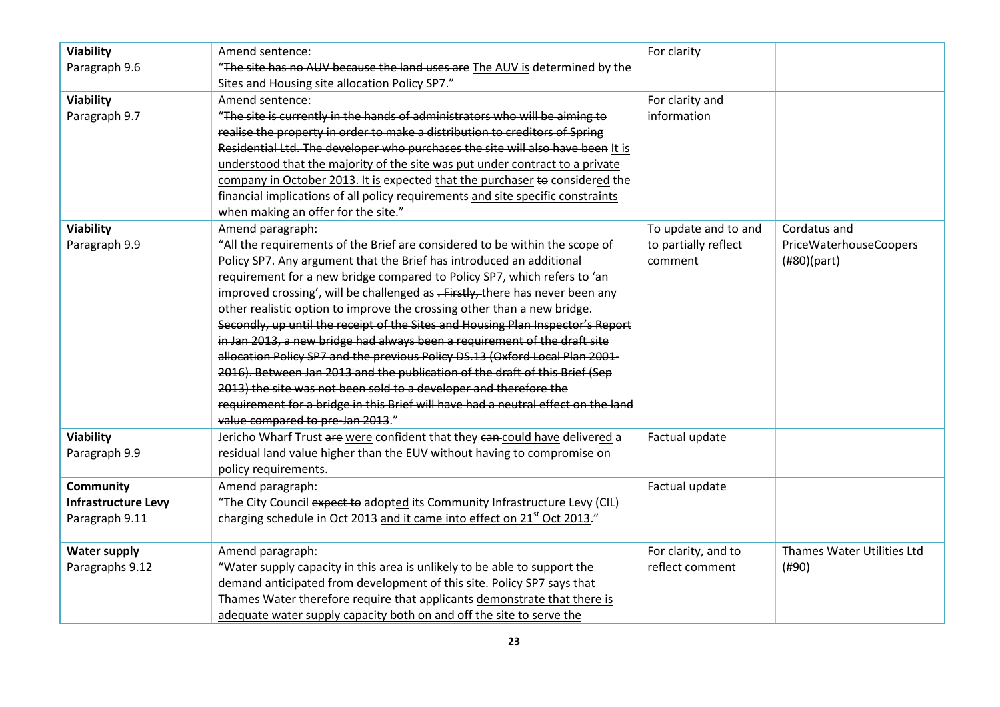| <b>Viability</b>    | Amend sentence:                                                                      | For clarity          |                            |
|---------------------|--------------------------------------------------------------------------------------|----------------------|----------------------------|
| Paragraph 9.6       | "The site has no AUV because the land uses are The AUV is determined by the          |                      |                            |
|                     | Sites and Housing site allocation Policy SP7."                                       |                      |                            |
| <b>Viability</b>    | Amend sentence:                                                                      | For clarity and      |                            |
| Paragraph 9.7       | "The site is currently in the hands of administrators who will be aiming to          | information          |                            |
|                     | realise the property in order to make a distribution to creditors of Spring          |                      |                            |
|                     | Residential Ltd. The developer who purchases the site will also have been It is      |                      |                            |
|                     | understood that the majority of the site was put under contract to a private         |                      |                            |
|                     | company in October 2013. It is expected that the purchaser to considered the         |                      |                            |
|                     | financial implications of all policy requirements and site specific constraints      |                      |                            |
|                     | when making an offer for the site."                                                  |                      |                            |
| <b>Viability</b>    | Amend paragraph:                                                                     | To update and to and | Cordatus and               |
| Paragraph 9.9       | "All the requirements of the Brief are considered to be within the scope of          | to partially reflect | PriceWaterhouseCoopers     |
|                     | Policy SP7. Any argument that the Brief has introduced an additional                 | comment              | (H80)(part)                |
|                     | requirement for a new bridge compared to Policy SP7, which refers to 'an             |                      |                            |
|                     | improved crossing', will be challenged as .- Firstly, there has never been any       |                      |                            |
|                     | other realistic option to improve the crossing other than a new bridge.              |                      |                            |
|                     | Secondly, up until the receipt of the Sites and Housing Plan Inspector's Report      |                      |                            |
|                     | in Jan 2013, a new bridge had always been a requirement of the draft site            |                      |                            |
|                     | allocation Policy SP7 and the previous Policy DS.13 (Oxford Local Plan 2001-         |                      |                            |
|                     | 2016). Between Jan 2013 and the publication of the draft of this Brief (Sep          |                      |                            |
|                     | 2013) the site was not been sold to a developer and therefore the                    |                      |                            |
|                     | requirement for a bridge in this Brief will have had a neutral effect on the land    |                      |                            |
|                     | value compared to pre-Jan 2013."                                                     |                      |                            |
| <b>Viability</b>    | Jericho Wharf Trust are were confident that they can could have delivered a          | Factual update       |                            |
| Paragraph 9.9       | residual land value higher than the EUV without having to compromise on              |                      |                            |
|                     | policy requirements.                                                                 |                      |                            |
| Community           | Amend paragraph:                                                                     | Factual update       |                            |
| Infrastructure Levy | "The City Council expect to adopted its Community Infrastructure Levy (CIL)          |                      |                            |
| Paragraph 9.11      | charging schedule in Oct 2013 and it came into effect on 21 <sup>st</sup> Oct 2013." |                      |                            |
|                     |                                                                                      |                      |                            |
| <b>Water supply</b> | Amend paragraph:                                                                     | For clarity, and to  | Thames Water Utilities Ltd |
| Paragraphs 9.12     | "Water supply capacity in this area is unlikely to be able to support the            | reflect comment      | (#90)                      |
|                     | demand anticipated from development of this site. Policy SP7 says that               |                      |                            |
|                     | Thames Water therefore require that applicants demonstrate that there is             |                      |                            |
|                     | adequate water supply capacity both on and off the site to serve the                 |                      |                            |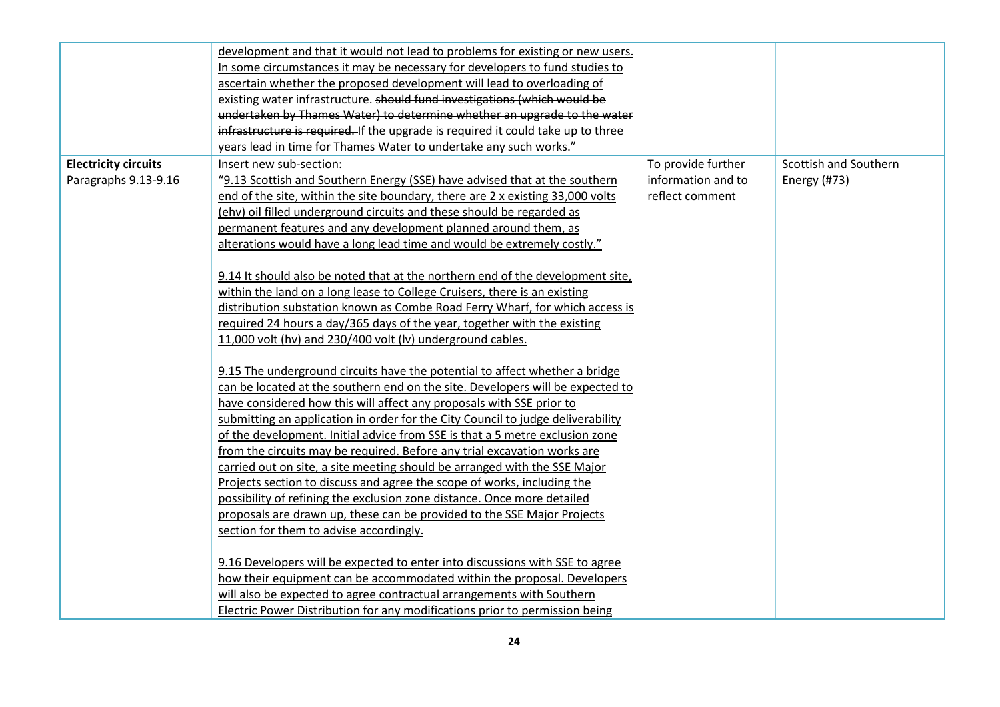|                             | development and that it would not lead to problems for existing or new users.      |                    |                       |
|-----------------------------|------------------------------------------------------------------------------------|--------------------|-----------------------|
|                             | In some circumstances it may be necessary for developers to fund studies to        |                    |                       |
|                             | ascertain whether the proposed development will lead to overloading of             |                    |                       |
|                             | existing water infrastructure. should fund investigations (which would be          |                    |                       |
|                             | undertaken by Thames Water) to determine whether an upgrade to the water           |                    |                       |
|                             | infrastructure is required. If the upgrade is required it could take up to three   |                    |                       |
|                             | years lead in time for Thames Water to undertake any such works."                  |                    |                       |
| <b>Electricity circuits</b> | Insert new sub-section:                                                            | To provide further | Scottish and Southern |
| Paragraphs 9.13-9.16        | "9.13 Scottish and Southern Energy (SSE) have advised that at the southern         | information and to | Energy (#73)          |
|                             | end of the site, within the site boundary, there are 2 x existing 33,000 volts     | reflect comment    |                       |
|                             | (ehv) oil filled underground circuits and these should be regarded as              |                    |                       |
|                             | permanent features and any development planned around them, as                     |                    |                       |
|                             | alterations would have a long lead time and would be extremely costly."            |                    |                       |
|                             |                                                                                    |                    |                       |
|                             | 9.14 It should also be noted that at the northern end of the development site,     |                    |                       |
|                             | within the land on a long lease to College Cruisers, there is an existing          |                    |                       |
|                             | distribution substation known as Combe Road Ferry Wharf, for which access is       |                    |                       |
|                             | required 24 hours a day/365 days of the year, together with the existing           |                    |                       |
|                             | 11,000 volt (hv) and 230/400 volt (lv) underground cables.                         |                    |                       |
|                             |                                                                                    |                    |                       |
|                             | 9.15 The underground circuits have the potential to affect whether a bridge        |                    |                       |
|                             | can be located at the southern end on the site. Developers will be expected to     |                    |                       |
|                             | have considered how this will affect any proposals with SSE prior to               |                    |                       |
|                             | submitting an application in order for the City Council to judge deliverability    |                    |                       |
|                             | of the development. Initial advice from SSE is that a 5 metre exclusion zone       |                    |                       |
|                             | from the circuits may be required. Before any trial excavation works are           |                    |                       |
|                             | carried out on site, a site meeting should be arranged with the SSE Major          |                    |                       |
|                             | Projects section to discuss and agree the scope of works, including the            |                    |                       |
|                             | possibility of refining the exclusion zone distance. Once more detailed            |                    |                       |
|                             | proposals are drawn up, these can be provided to the SSE Major Projects            |                    |                       |
|                             | section for them to advise accordingly.                                            |                    |                       |
|                             |                                                                                    |                    |                       |
|                             | 9.16 Developers will be expected to enter into discussions with SSE to agree       |                    |                       |
|                             | how their equipment can be accommodated within the proposal. Developers            |                    |                       |
|                             | will also be expected to agree contractual arrangements with Southern              |                    |                       |
|                             | <b>Electric Power Distribution for any modifications prior to permission being</b> |                    |                       |